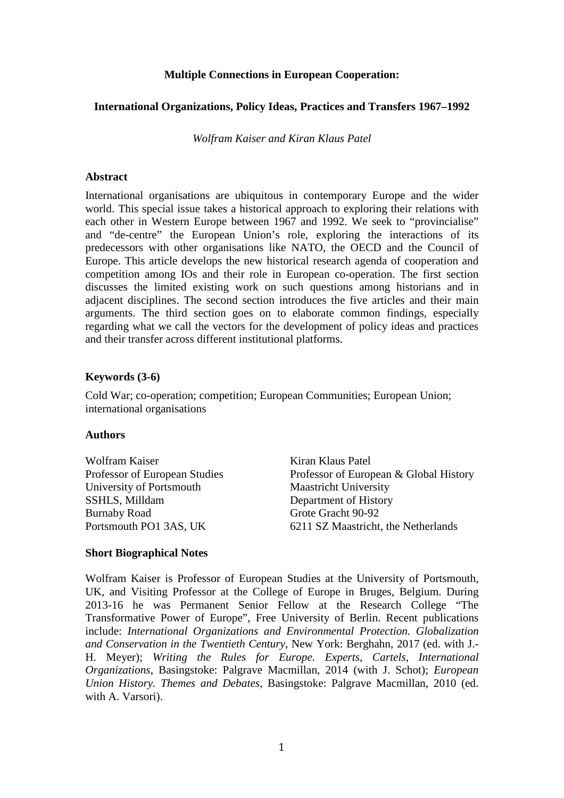## **Multiple Connections in European Cooperation:**

## **International Organizations, Policy Ideas, Practices and Transfers 1967–1992**

*Wolfram Kaiser and Kiran Klaus Patel*

#### **Abstract**

International organisations are ubiquitous in contemporary Europe and the wider world. This special issue takes a historical approach to exploring their relations with each other in Western Europe between 1967 and 1992. We seek to "provincialise" and "de-centre" the European Union's role, exploring the interactions of its predecessors with other organisations like NATO, the OECD and the Council of Europe. This article develops the new historical research agenda of cooperation and competition among IOs and their role in European co-operation. The first section discusses the limited existing work on such questions among historians and in adjacent disciplines. The second section introduces the five articles and their main arguments. The third section goes on to elaborate common findings, especially regarding what we call the vectors for the development of policy ideas and practices and their transfer across different institutional platforms.

#### **Keywords (3-6)**

Cold War; co-operation; competition; European Communities; European Union; international organisations

#### **Authors**

| Kiran Klaus Patel                      |
|----------------------------------------|
| Professor of European & Global History |
| <b>Maastricht University</b>           |
| Department of History                  |
| Grote Gracht 90-92                     |
| 6211 SZ Maastricht, the Netherlands    |
|                                        |

#### **Short Biographical Notes**

Wolfram Kaiser is Professor of European Studies at the University of Portsmouth, UK, and Visiting Professor at the College of Europe in Bruges, Belgium. During 2013-16 he was Permanent Senior Fellow at the Research College "The Transformative Power of Europe", Free University of Berlin. Recent publications include: *International Organizations and Environmental Protection. Globalization and Conservation in the Twentieth Century*, New York: Berghahn, 2017 (ed. with J.- H. Meyer); *Writing the Rules for Europe. Experts, Cartels, International Organizations*, Basingstoke: Palgrave Macmillan, 2014 (with J. Schot); *European Union History. Themes and Debates*, Basingstoke: Palgrave Macmillan, 2010 (ed. with A. Varsori).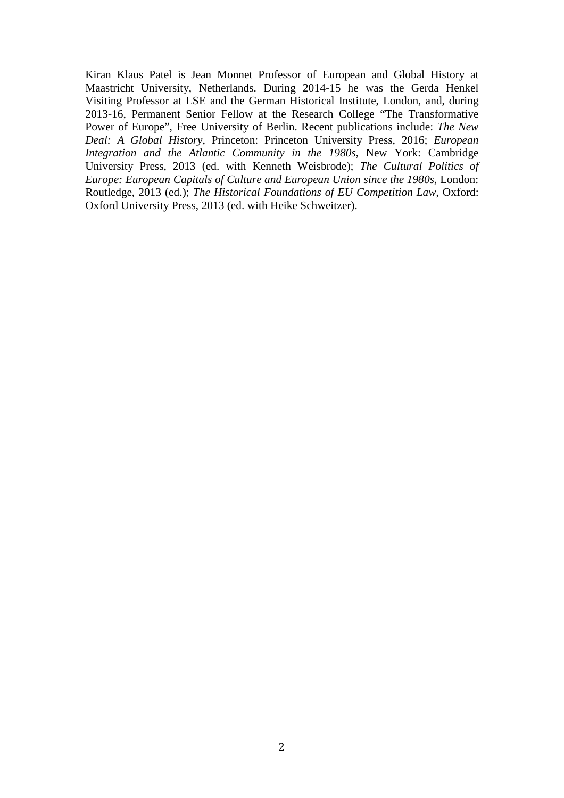Kiran Klaus Patel is Jean Monnet Professor of European and Global History at Maastricht University, Netherlands. During 2014-15 he was the Gerda Henkel Visiting Professor at LSE and the German Historical Institute, London, and, during 2013-16, Permanent Senior Fellow at the Research College "The Transformative Power of Europe", Free University of Berlin. Recent publications include: *The New Deal: A Global History*, Princeton: Princeton University Press, 2016; *European Integration and the Atlantic Community in the 1980s*, New York: Cambridge University Press, 2013 (ed. with Kenneth Weisbrode); *The Cultural Politics of Europe: European Capitals of Culture and European Union since the 1980s*, London: Routledge, 2013 (ed.); *The Historical Foundations of EU Competition Law*, Oxford: Oxford University Press, 2013 (ed. with Heike Schweitzer).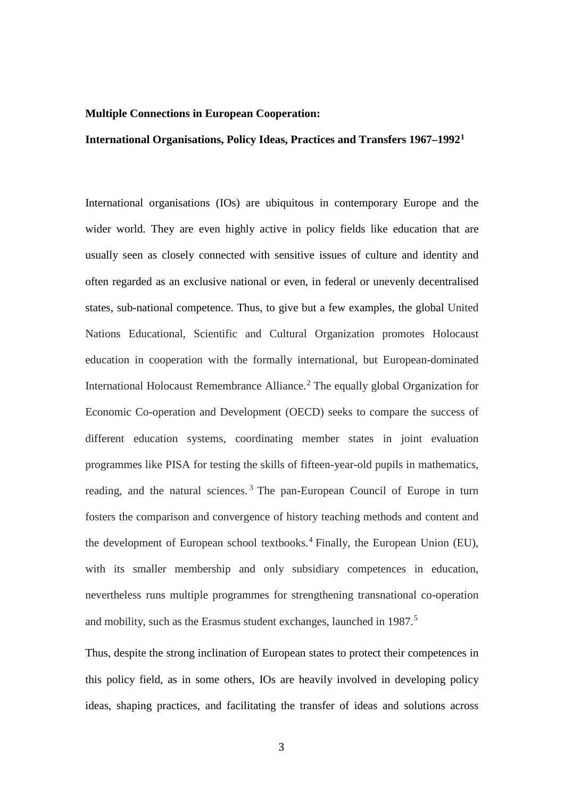#### **Multiple Connections in European Cooperation:**

## **International Organisations, Policy Ideas, Practices and Transfers 1967–1992[1](#page-3-0)**

International organisations (IOs) are ubiquitous in contemporary Europe and the wider world. They are even highly active in policy fields like education that are usually seen as closely connected with sensitive issues of culture and identity and often regarded as an exclusive national or even, in federal or unevenly decentralised states, sub-national competence. Thus, to give but a few examples, the global United Nations Educational, Scientific and Cultural Organization promotes Holocaust education in cooperation with the formally international, but European-dominated International Holocaust Remembrance Alliance.<sup>[2](#page-3-1)</sup> The equally global Organization for Economic Co-operation and Development (OECD) seeks to compare the success of different education systems, coordinating member states in joint evaluation programmes like PISA for testing the skills of fifteen-year-old pupils in mathematics, reading, and the natural sciences.<sup>[3](#page-3-2)</sup> The pan-European Council of Europe in turn fosters the comparison and convergence of history teaching methods and content and the development of European school textbooks.<sup>[4](#page-3-3)</sup> Finally, the European Union (EU), with its smaller membership and only subsidiary competences in education, nevertheless runs multiple programmes for strengthening transnational co-operation and mobility, such as the Erasmus student exchanges, launched in 1987.<sup>[5](#page-3-4)</sup>

Thus, despite the strong inclination of European states to protect their competences in this policy field, as in some others, IOs are heavily involved in developing policy ideas, shaping practices, and facilitating the transfer of ideas and solutions across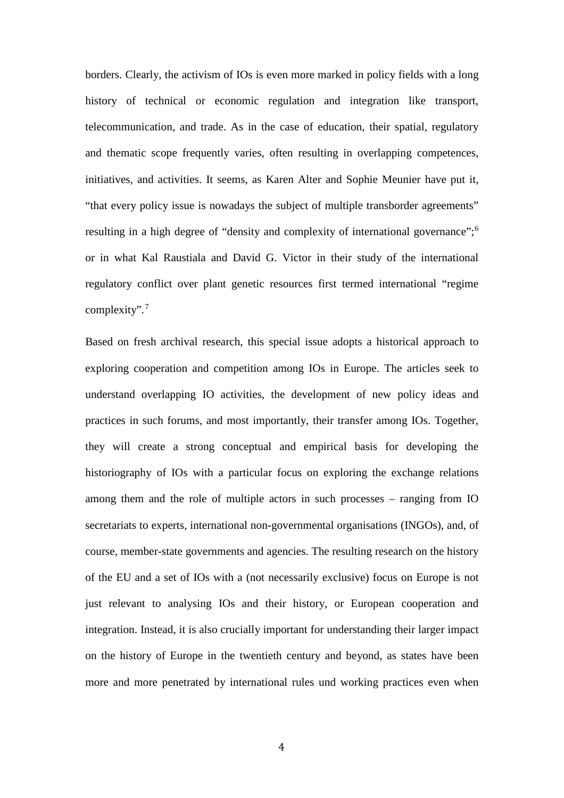<span id="page-3-0"></span>borders. Clearly, the activism of IOs is even more marked in policy fields with a long history of technical or economic regulation and integration like transport, telecommunication, and trade. As in the case of education, their spatial, regulatory and thematic scope frequently varies, often resulting in overlapping competences, initiatives, and activities. It seems, as Karen Alter and Sophie Meunier have put it, "that every policy issue is nowadays the subject of multiple transborder agreements" resulting in a high degree of "density and complexity of international governance";<sup>[6](#page-3-5)</sup> or in what Kal Raustiala and David G. Victor in their study of the international regulatory conflict over plant genetic resources first termed international "regime complexity".[7](#page-3-6)

<span id="page-3-12"></span><span id="page-3-11"></span><span id="page-3-10"></span><span id="page-3-9"></span><span id="page-3-8"></span><span id="page-3-7"></span><span id="page-3-6"></span><span id="page-3-5"></span><span id="page-3-4"></span><span id="page-3-3"></span><span id="page-3-2"></span><span id="page-3-1"></span>Based on fresh archival research, this special issue adopts a historical approach to exploring cooperation and competition among IOs in Europe. The articles seek to understand overlapping IO activities, the development of new policy ideas and practices in such forums, and most importantly, their transfer among IOs. Together, they will create a strong conceptual and empirical basis for developing the historiography of IOs with a particular focus on exploring the exchange relations among them and the role of multiple actors in such processes – ranging from IO secretariats to experts, international non-governmental organisations (INGOs), and, of course, member-state governments and agencies. The resulting research on the history of the EU and a set of IOs with a (not necessarily exclusive) focus on Europe is not just relevant to analysing IOs and their history, or European cooperation and integration. Instead, it is also crucially important for understanding their larger impact on the history of Europe in the twentieth century and beyond, as states have been more and more penetrated by international rules und working practices even when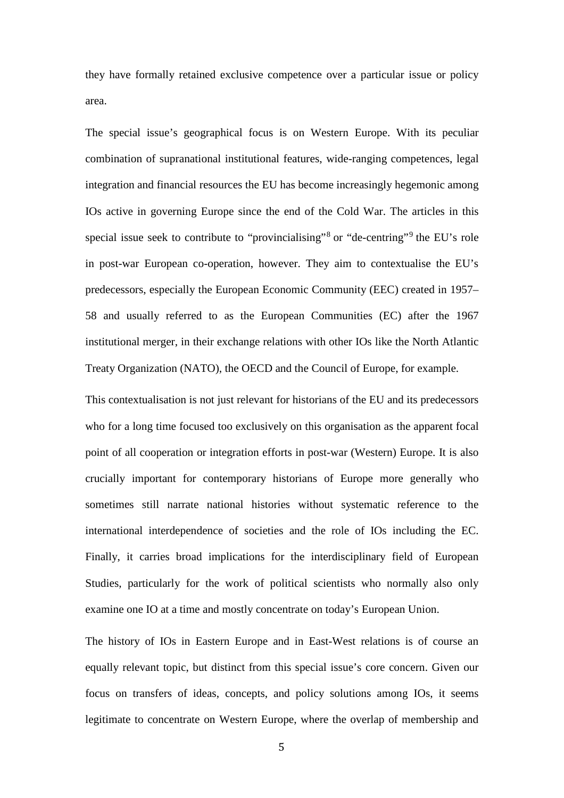<span id="page-4-0"></span>they have formally retained exclusive competence over a particular issue or policy area.

<span id="page-4-3"></span><span id="page-4-2"></span><span id="page-4-1"></span>The special issue's geographical focus is on Western Europe. With its peculiar combination of supranational institutional features, wide-ranging competences, legal integration and financial resources the EU has become increasingly hegemonic among IOs active in governing Europe since the end of the Cold War. The articles in this special issue seek to contribute to "provincialising"<sup>[8](#page-3-7)</sup> or "de-centring"<sup>[9](#page-3-8)</sup> the EU's role in post-war European co-operation, however. They aim to contextualise the EU's predecessors, especially the European Economic Community (EEC) created in 1957– 58 and usually referred to as the European Communities (EC) after the 1967 institutional merger, in their exchange relations with other IOs like the North Atlantic Treaty Organization (NATO), the OECD and the Council of Europe, for example.

<span id="page-4-10"></span><span id="page-4-9"></span><span id="page-4-8"></span><span id="page-4-7"></span><span id="page-4-6"></span><span id="page-4-5"></span><span id="page-4-4"></span>This contextualisation is not just relevant for historians of the EU and its predecessors who for a long time focused too exclusively on this organisation as the apparent focal point of all cooperation or integration efforts in post-war (Western) Europe. It is also crucially important for contemporary historians of Europe more generally who sometimes still narrate national histories without systematic reference to the international interdependence of societies and the role of IOs including the EC. Finally, it carries broad implications for the interdisciplinary field of European Studies, particularly for the work of political scientists who normally also only examine one IO at a time and mostly concentrate on today's European Union.

<span id="page-4-17"></span><span id="page-4-16"></span><span id="page-4-15"></span><span id="page-4-14"></span><span id="page-4-13"></span><span id="page-4-12"></span><span id="page-4-11"></span>The history of IOs in Eastern Europe and in East-West relations is of course an equally relevant topic, but distinct from this special issue's core concern. Given our focus on transfers of ideas, concepts, and policy solutions among IOs, it seems legitimate to concentrate on Western Europe, where the overlap of membership and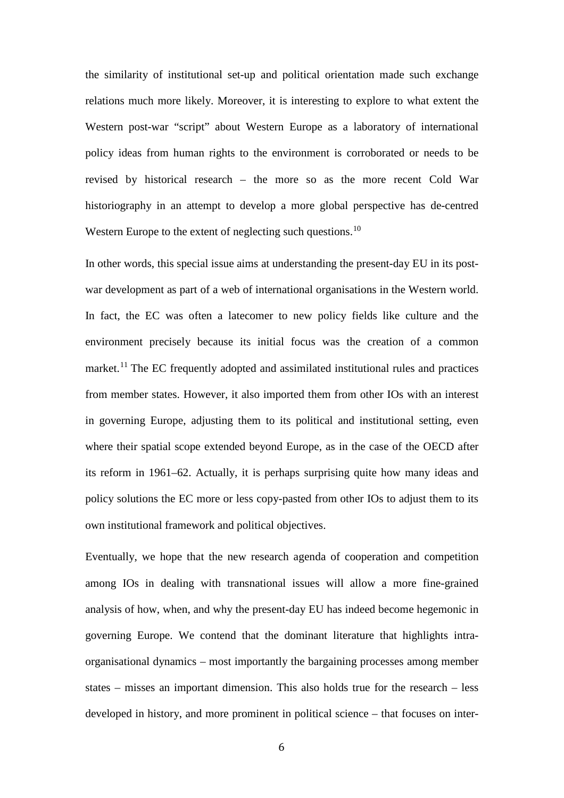<span id="page-5-3"></span><span id="page-5-2"></span><span id="page-5-1"></span><span id="page-5-0"></span>the similarity of institutional set-up and political orientation made such exchange relations much more likely. Moreover, it is interesting to explore to what extent the Western post-war "script" about Western Europe as a laboratory of international policy ideas from human rights to the environment is corroborated or needs to be revised by historical research – the more so as the more recent Cold War historiography in an attempt to develop a more global perspective has de-centred Western Europe to the extent of neglecting such questions.<sup>[10](#page-3-9)</sup>

<span id="page-5-10"></span><span id="page-5-9"></span><span id="page-5-8"></span><span id="page-5-7"></span><span id="page-5-6"></span><span id="page-5-5"></span><span id="page-5-4"></span>In other words, this special issue aims at understanding the present-day EU in its postwar development as part of a web of international organisations in the Western world. In fact, the EC was often a latecomer to new policy fields like culture and the environment precisely because its initial focus was the creation of a common market.<sup>[11](#page-3-10)</sup> The EC frequently adopted and assimilated institutional rules and practices from member states. However, it also imported them from other IOs with an interest in governing Europe, adjusting them to its political and institutional setting, even where their spatial scope extended beyond Europe, as in the case of the OECD after its reform in 1961–62. Actually, it is perhaps surprising quite how many ideas and policy solutions the EC more or less copy-pasted from other IOs to adjust them to its own institutional framework and political objectives.

<span id="page-5-19"></span><span id="page-5-18"></span><span id="page-5-17"></span><span id="page-5-16"></span><span id="page-5-15"></span><span id="page-5-14"></span><span id="page-5-13"></span><span id="page-5-12"></span><span id="page-5-11"></span>Eventually, we hope that the new research agenda of cooperation and competition among IOs in dealing with transnational issues will allow a more fine-grained analysis of how, when, and why the present-day EU has indeed become hegemonic in governing Europe. We contend that the dominant literature that highlights intraorganisational dynamics – most importantly the bargaining processes among member states – misses an important dimension. This also holds true for the research – less developed in history, and more prominent in political science – that focuses on inter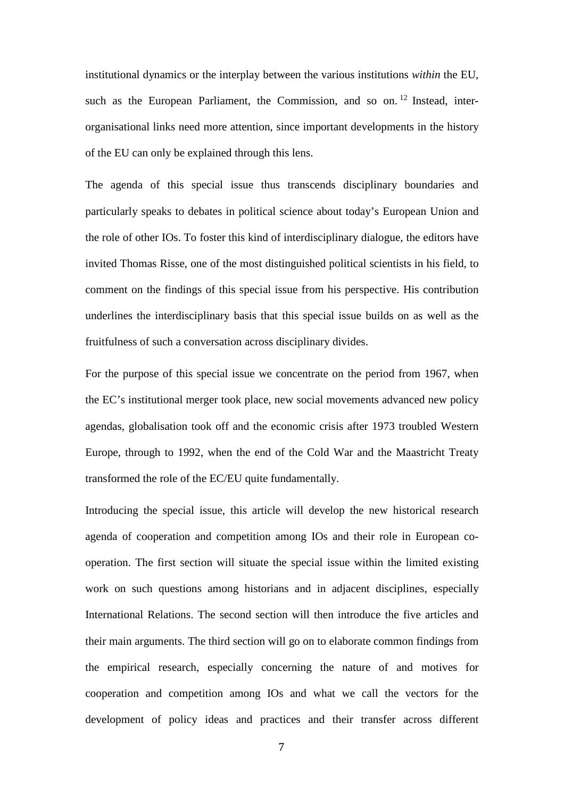<span id="page-6-0"></span>institutional dynamics or the interplay between the various institutions *within* the EU, such as the European Parliament, the Commission, and so on.  $12$  Instead, interorganisational links need more attention, since important developments in the history of the EU can only be explained through this lens.

<span id="page-6-3"></span><span id="page-6-2"></span><span id="page-6-1"></span>The agenda of this special issue thus transcends disciplinary boundaries and particularly speaks to debates in political science about today's European Union and the role of other IOs. To foster this kind of interdisciplinary dialogue, the editors have invited Thomas Risse, one of the most distinguished political scientists in his field, to comment on the findings of this special issue from his perspective. His contribution underlines the interdisciplinary basis that this special issue builds on as well as the fruitfulness of such a conversation across disciplinary divides.

<span id="page-6-6"></span><span id="page-6-5"></span><span id="page-6-4"></span>For the purpose of this special issue we concentrate on the period from 1967, when the EC's institutional merger took place, new social movements advanced new policy agendas, globalisation took off and the economic crisis after 1973 troubled Western Europe, through to 1992, when the end of the Cold War and the Maastricht Treaty transformed the role of the EC/EU quite fundamentally.

<span id="page-6-7"></span>Introducing the special issue, this article will develop the new historical research agenda of cooperation and competition among IOs and their role in European cooperation. The first section will situate the special issue within the limited existing work on such questions among historians and in adjacent disciplines, especially International Relations. The second section will then introduce the five articles and their main arguments. The third section will go on to elaborate common findings from the empirical research, especially concerning the nature of and motives for cooperation and competition among IOs and what we call the vectors for the development of policy ideas and practices and their transfer across different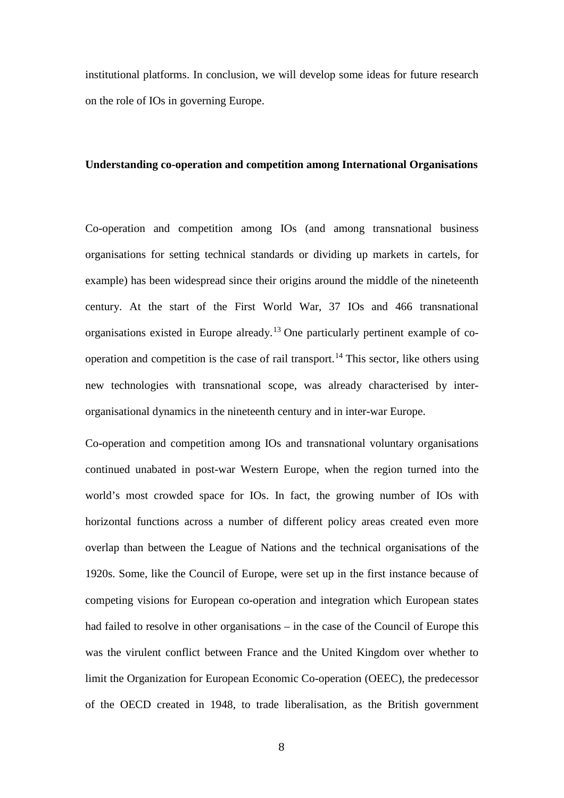institutional platforms. In conclusion, we will develop some ideas for future research on the role of IOs in governing Europe.

#### **Understanding co-operation and competition among International Organisations**

Co-operation and competition among IOs (and among transnational business organisations for setting technical standards or dividing up markets in cartels, for example) has been widespread since their origins around the middle of the nineteenth century. At the start of the First World War, 37 IOs and 466 transnational organisations existed in Europe already.[13](#page-3-12) One particularly pertinent example of co-operation and competition is the case of rail transport.<sup>[14](#page-4-0)</sup> This sector, like others using new technologies with transnational scope, was already characterised by interorganisational dynamics in the nineteenth century and in inter-war Europe.

Co-operation and competition among IOs and transnational voluntary organisations continued unabated in post-war Western Europe, when the region turned into the world's most crowded space for IOs. In fact, the growing number of IOs with horizontal functions across a number of different policy areas created even more overlap than between the League of Nations and the technical organisations of the 1920s. Some, like the Council of Europe, were set up in the first instance because of competing visions for European co-operation and integration which European states had failed to resolve in other organisations – in the case of the Council of Europe this was the virulent conflict between France and the United Kingdom over whether to limit the Organization for European Economic Co-operation (OEEC), the predecessor of the OECD created in 1948, to trade liberalisation, as the British government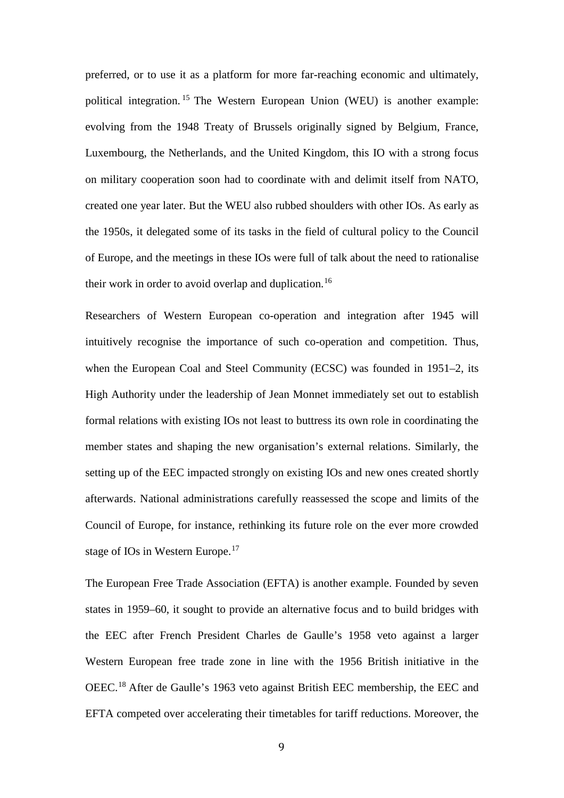preferred, or to use it as a platform for more far-reaching economic and ultimately, political integration. [15](#page-4-1) The Western European Union (WEU) is another example: evolving from the 1948 Treaty of Brussels originally signed by Belgium, France, Luxembourg, the Netherlands, and the United Kingdom, this IO with a strong focus on military cooperation soon had to coordinate with and delimit itself from NATO, created one year later. But the WEU also rubbed shoulders with other IOs. As early as the 1950s, it delegated some of its tasks in the field of cultural policy to the Council of Europe, and the meetings in these IOs were full of talk about the need to rationalise their work in order to avoid overlap and duplication.<sup>[16](#page-4-2)</sup>

Researchers of Western European co-operation and integration after 1945 will intuitively recognise the importance of such co-operation and competition. Thus, when the European Coal and Steel Community (ECSC) was founded in 1951–2, its High Authority under the leadership of Jean Monnet immediately set out to establish formal relations with existing IOs not least to buttress its own role in coordinating the member states and shaping the new organisation's external relations. Similarly, the setting up of the EEC impacted strongly on existing IOs and new ones created shortly afterwards. National administrations carefully reassessed the scope and limits of the Council of Europe, for instance, rethinking its future role on the ever more crowded stage of IOs in Western Europe.<sup>[17](#page-4-3)</sup>

The European Free Trade Association (EFTA) is another example. Founded by seven states in 1959–60, it sought to provide an alternative focus and to build bridges with the EEC after French President Charles de Gaulle's 1958 veto against a larger Western European free trade zone in line with the 1956 British initiative in the OEEC.[18](#page-4-4) After de Gaulle's 1963 veto against British EEC membership, the EEC and EFTA competed over accelerating their timetables for tariff reductions. Moreover, the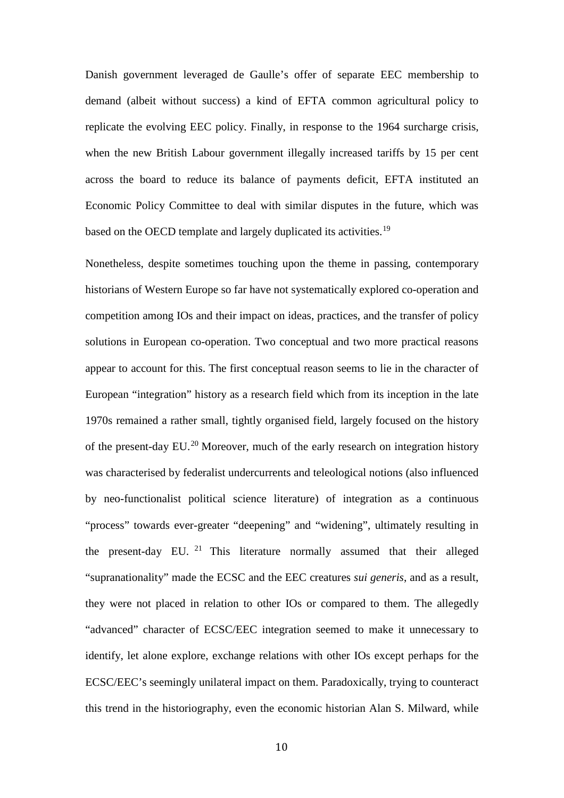Danish government leveraged de Gaulle's offer of separate EEC membership to demand (albeit without success) a kind of EFTA common agricultural policy to replicate the evolving EEC policy. Finally, in response to the 1964 surcharge crisis, when the new British Labour government illegally increased tariffs by 15 per cent across the board to reduce its balance of payments deficit, EFTA instituted an Economic Policy Committee to deal with similar disputes in the future, which was based on the OECD template and largely duplicated its activities.<sup>[19](#page-4-5)</sup>

Nonetheless, despite sometimes touching upon the theme in passing, contemporary historians of Western Europe so far have not systematically explored co-operation and competition among IOs and their impact on ideas, practices, and the transfer of policy solutions in European co-operation. Two conceptual and two more practical reasons appear to account for this. The first conceptual reason seems to lie in the character of European "integration" history as a research field which from its inception in the late 1970s remained a rather small, tightly organised field, largely focused on the history of the present-day EU.[20](#page-4-6) Moreover, much of the early research on integration history was characterised by federalist undercurrents and teleological notions (also influenced by neo-functionalist political science literature) of integration as a continuous "process" towards ever-greater "deepening" and "widening", ultimately resulting in the present-day EU.  $21$  This literature normally assumed that their alleged "supranationality" made the ECSC and the EEC creatures *sui generis*, and as a result, they were not placed in relation to other IOs or compared to them. The allegedly "advanced" character of ECSC/EEC integration seemed to make it unnecessary to identify, let alone explore, exchange relations with other IOs except perhaps for the ECSC/EEC's seemingly unilateral impact on them. Paradoxically, trying to counteract this trend in the historiography, even the economic historian Alan S. Milward, while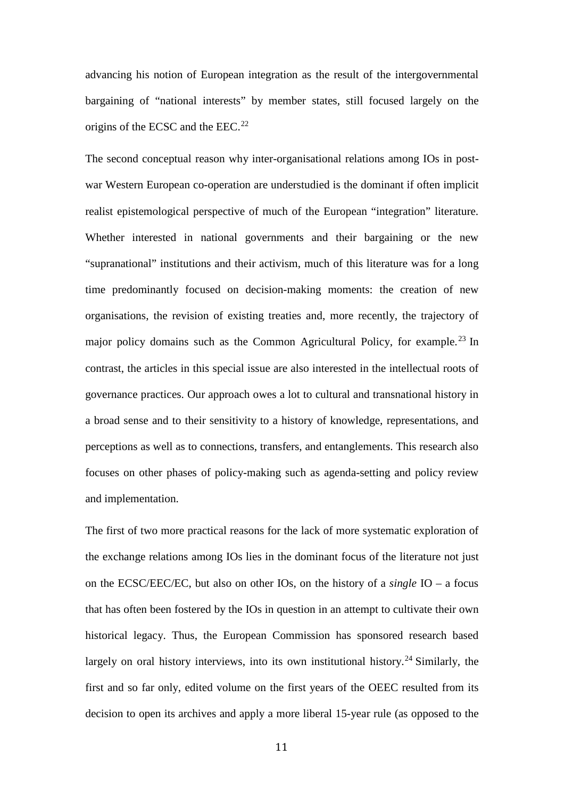advancing his notion of European integration as the result of the intergovernmental bargaining of "national interests" by member states, still focused largely on the origins of the ECSC and the EEC.<sup>[22](#page-4-8)</sup>

The second conceptual reason why inter-organisational relations among IOs in postwar Western European co-operation are understudied is the dominant if often implicit realist epistemological perspective of much of the European "integration" literature. Whether interested in national governments and their bargaining or the new "supranational" institutions and their activism, much of this literature was for a long time predominantly focused on decision-making moments: the creation of new organisations, the revision of existing treaties and, more recently, the trajectory of major policy domains such as the Common Agricultural Policy, for example.<sup>[23](#page-4-9)</sup> In contrast, the articles in this special issue are also interested in the intellectual roots of governance practices. Our approach owes a lot to cultural and transnational history in a broad sense and to their sensitivity to a history of knowledge, representations, and perceptions as well as to connections, transfers, and entanglements. This research also focuses on other phases of policy-making such as agenda-setting and policy review and implementation.

The first of two more practical reasons for the lack of more systematic exploration of the exchange relations among IOs lies in the dominant focus of the literature not just on the ECSC/EEC/EC, but also on other IOs, on the history of a *single* IO – a focus that has often been fostered by the IOs in question in an attempt to cultivate their own historical legacy. Thus, the European Commission has sponsored research based largely on oral history interviews, into its own institutional history.<sup>[24](#page-4-10)</sup> Similarly, the first and so far only, edited volume on the first years of the OEEC resulted from its decision to open its archives and apply a more liberal 15-year rule (as opposed to the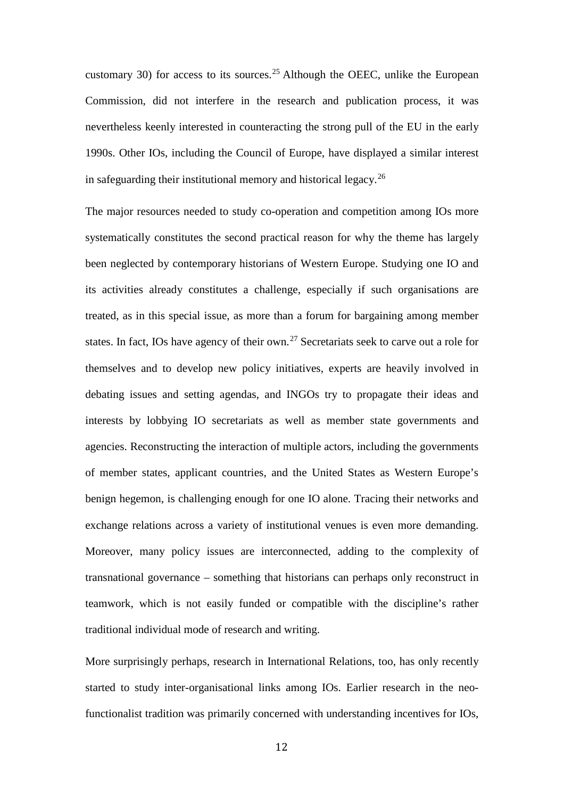customary 30) for access to its sources.<sup>[25](#page-4-11)</sup> Although the OEEC, unlike the European Commission, did not interfere in the research and publication process, it was nevertheless keenly interested in counteracting the strong pull of the EU in the early 1990s. Other IOs, including the Council of Europe, have displayed a similar interest in safeguarding their institutional memory and historical legacy.<sup>[26](#page-4-12)</sup>

The major resources needed to study co-operation and competition among IOs more systematically constitutes the second practical reason for why the theme has largely been neglected by contemporary historians of Western Europe. Studying one IO and its activities already constitutes a challenge, especially if such organisations are treated, as in this special issue, as more than a forum for bargaining among member states. In fact, IOs have agency of their own.<sup>[27](#page-4-13)</sup> Secretariats seek to carve out a role for themselves and to develop new policy initiatives, experts are heavily involved in debating issues and setting agendas, and INGOs try to propagate their ideas and interests by lobbying IO secretariats as well as member state governments and agencies. Reconstructing the interaction of multiple actors, including the governments of member states, applicant countries, and the United States as Western Europe's benign hegemon, is challenging enough for one IO alone. Tracing their networks and exchange relations across a variety of institutional venues is even more demanding. Moreover, many policy issues are interconnected, adding to the complexity of transnational governance – something that historians can perhaps only reconstruct in teamwork, which is not easily funded or compatible with the discipline's rather traditional individual mode of research and writing.

More surprisingly perhaps, research in International Relations, too, has only recently started to study inter-organisational links among IOs. Earlier research in the neofunctionalist tradition was primarily concerned with understanding incentives for IOs,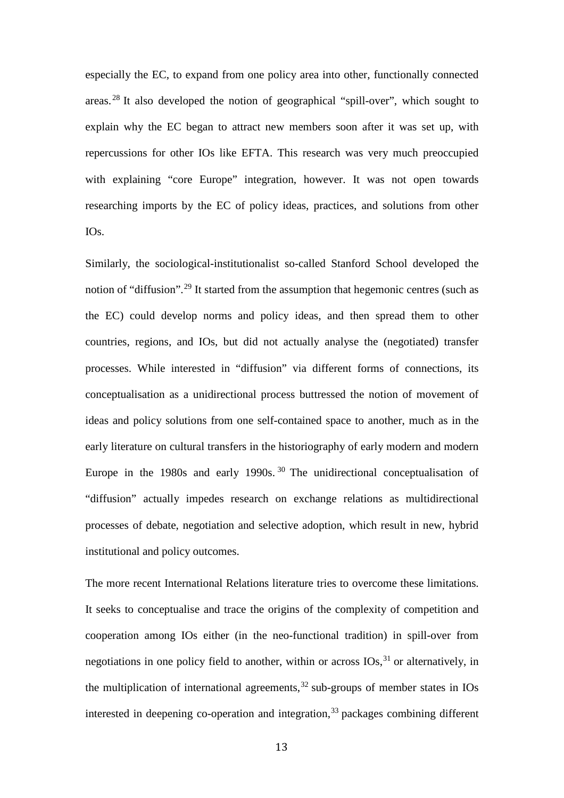especially the EC, to expand from one policy area into other, functionally connected areas. [28](#page-4-14) It also developed the notion of geographical "spill-over", which sought to explain why the EC began to attract new members soon after it was set up, with repercussions for other IOs like EFTA. This research was very much preoccupied with explaining "core Europe" integration, however. It was not open towards researching imports by the EC of policy ideas, practices, and solutions from other IOs.

Similarly, the sociological-institutionalist so-called Stanford School developed the notion of "diffusion".<sup>[29](#page-4-15)</sup> It started from the assumption that hegemonic centres (such as the EC) could develop norms and policy ideas, and then spread them to other countries, regions, and IOs, but did not actually analyse the (negotiated) transfer processes. While interested in "diffusion" via different forms of connections, its conceptualisation as a unidirectional process buttressed the notion of movement of ideas and policy solutions from one self-contained space to another, much as in the early literature on cultural transfers in the historiography of early modern and modern Europe in the 1980s and early 1990s.<sup>[30](#page-4-16)</sup> The unidirectional conceptualisation of "diffusion" actually impedes research on exchange relations as multidirectional processes of debate, negotiation and selective adoption, which result in new, hybrid institutional and policy outcomes.

The more recent International Relations literature tries to overcome these limitations. It seeks to conceptualise and trace the origins of the complexity of competition and cooperation among IOs either (in the neo-functional tradition) in spill-over from negotiations in one policy field to another, within or across IOs,<sup>[31](#page-4-17)</sup> or alternatively, in the multiplication of international agreements, [32](#page-5-0) sub-groups of member states in IOs interested in deepening co-operation and integration, [33](#page-5-1) packages combining different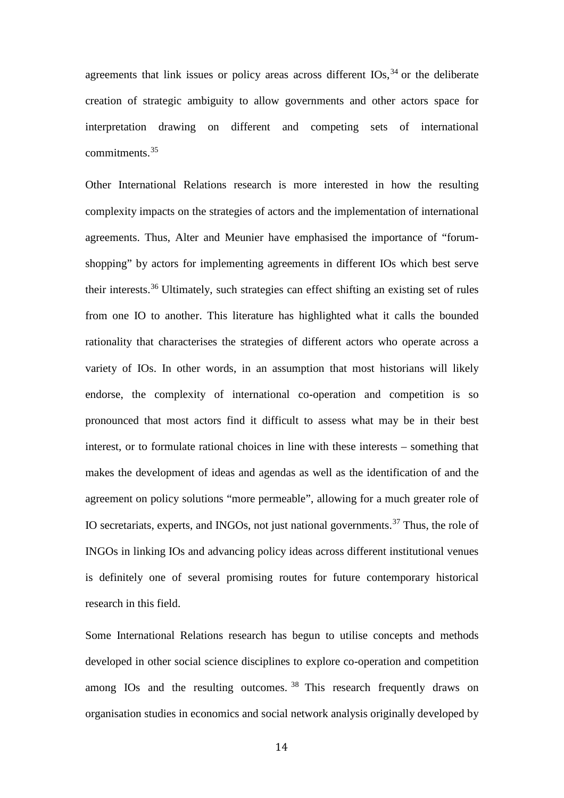agreements that link issues or policy areas across different  $IOS$ ,  $34$  or the deliberate creation of strategic ambiguity to allow governments and other actors space for interpretation drawing on different and competing sets of international commitments.[35](#page-5-3)

Other International Relations research is more interested in how the resulting complexity impacts on the strategies of actors and the implementation of international agreements. Thus, Alter and Meunier have emphasised the importance of "forumshopping" by actors for implementing agreements in different IOs which best serve their interests.[36](#page-5-4) Ultimately, such strategies can effect shifting an existing set of rules from one IO to another. This literature has highlighted what it calls the bounded rationality that characterises the strategies of different actors who operate across a variety of IOs. In other words, in an assumption that most historians will likely endorse, the complexity of international co-operation and competition is so pronounced that most actors find it difficult to assess what may be in their best interest, or to formulate rational choices in line with these interests – something that makes the development of ideas and agendas as well as the identification of and the agreement on policy solutions "more permeable", allowing for a much greater role of IO secretariats, experts, and INGOs, not just national governments.<sup>[37](#page-5-5)</sup> Thus, the role of INGOs in linking IOs and advancing policy ideas across different institutional venues is definitely one of several promising routes for future contemporary historical research in this field.

Some International Relations research has begun to utilise concepts and methods developed in other social science disciplines to explore co-operation and competition among IOs and the resulting outcomes.<sup>[38](#page-5-6)</sup> This research frequently draws on organisation studies in economics and social network analysis originally developed by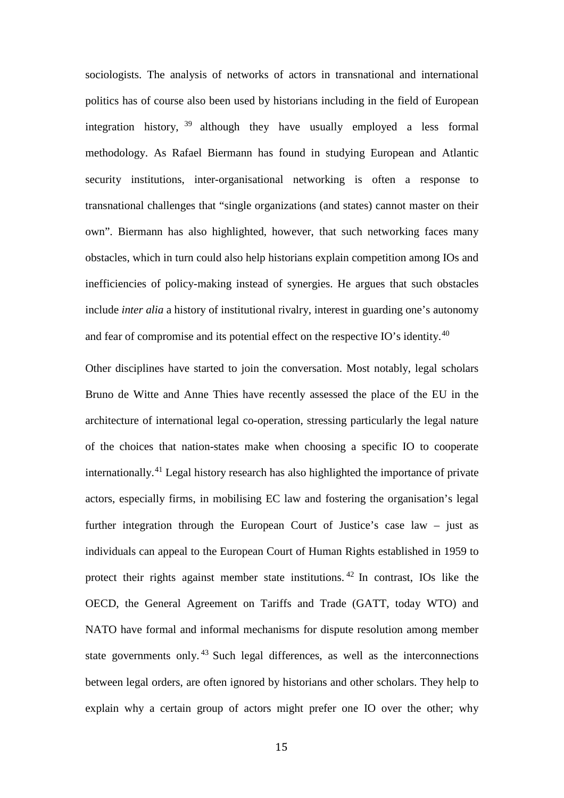sociologists. The analysis of networks of actors in transnational and international politics has of course also been used by historians including in the field of European integration history, [39](#page-5-7) although they have usually employed a less formal methodology. As Rafael Biermann has found in studying European and Atlantic security institutions, inter-organisational networking is often a response to transnational challenges that "single organizations (and states) cannot master on their own". Biermann has also highlighted, however, that such networking faces many obstacles, which in turn could also help historians explain competition among IOs and inefficiencies of policy-making instead of synergies. He argues that such obstacles include *inter alia* a history of institutional rivalry, interest in guarding one's autonomy and fear of compromise and its potential effect on the respective IO's identity.<sup>[40](#page-5-8)</sup>

Other disciplines have started to join the conversation. Most notably, legal scholars Bruno de Witte and Anne Thies have recently assessed the place of the EU in the architecture of international legal co-operation, stressing particularly the legal nature of the choices that nation-states make when choosing a specific IO to cooperate internationally.[41](#page-5-9) Legal history research has also highlighted the importance of private actors, especially firms, in mobilising EC law and fostering the organisation's legal further integration through the European Court of Justice's case law – just as individuals can appeal to the European Court of Human Rights established in 1959 to protect their rights against member state institutions. [42](#page-5-10) In contrast, IOs like the OECD, the General Agreement on Tariffs and Trade (GATT, today WTO) and NATO have formal and informal mechanisms for dispute resolution among member state governments only. [43](#page-5-11) Such legal differences, as well as the interconnections between legal orders, are often ignored by historians and other scholars. They help to explain why a certain group of actors might prefer one IO over the other; why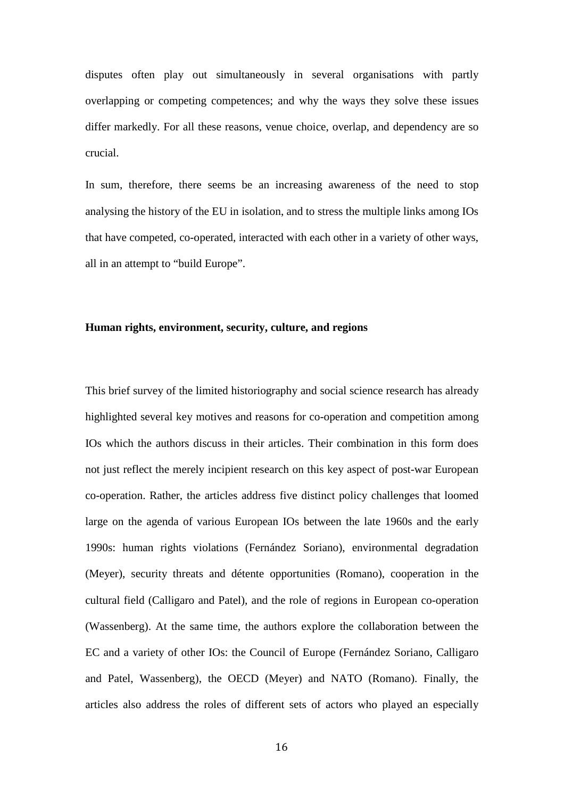disputes often play out simultaneously in several organisations with partly overlapping or competing competences; and why the ways they solve these issues differ markedly. For all these reasons, venue choice, overlap, and dependency are so crucial.

In sum, therefore, there seems be an increasing awareness of the need to stop analysing the history of the EU in isolation, and to stress the multiple links among IOs that have competed, co-operated, interacted with each other in a variety of other ways, all in an attempt to "build Europe".

## **Human rights, environment, security, culture, and regions**

This brief survey of the limited historiography and social science research has already highlighted several key motives and reasons for co-operation and competition among IOs which the authors discuss in their articles. Their combination in this form does not just reflect the merely incipient research on this key aspect of post-war European co-operation. Rather, the articles address five distinct policy challenges that loomed large on the agenda of various European IOs between the late 1960s and the early 1990s: human rights violations (Fernández Soriano), environmental degradation (Meyer), security threats and détente opportunities (Romano), cooperation in the cultural field (Calligaro and Patel), and the role of regions in European co-operation (Wassenberg). At the same time, the authors explore the collaboration between the EC and a variety of other IOs: the Council of Europe (Fernández Soriano, Calligaro and Patel, Wassenberg), the OECD (Meyer) and NATO (Romano). Finally, the articles also address the roles of different sets of actors who played an especially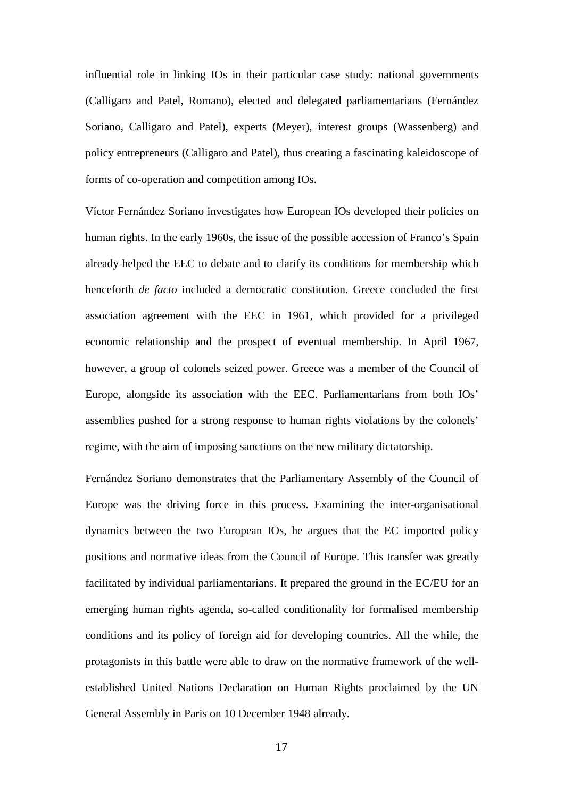influential role in linking IOs in their particular case study: national governments (Calligaro and Patel, Romano), elected and delegated parliamentarians (Fernández Soriano, Calligaro and Patel), experts (Meyer), interest groups (Wassenberg) and policy entrepreneurs (Calligaro and Patel), thus creating a fascinating kaleidoscope of forms of co-operation and competition among IOs.

Víctor Fernández Soriano investigates how European IOs developed their policies on human rights. In the early 1960s, the issue of the possible accession of Franco's Spain already helped the EEC to debate and to clarify its conditions for membership which henceforth *de facto* included a democratic constitution. Greece concluded the first association agreement with the EEC in 1961, which provided for a privileged economic relationship and the prospect of eventual membership. In April 1967, however, a group of colonels seized power. Greece was a member of the Council of Europe, alongside its association with the EEC. Parliamentarians from both IOs' assemblies pushed for a strong response to human rights violations by the colonels' regime, with the aim of imposing sanctions on the new military dictatorship.

Fernández Soriano demonstrates that the Parliamentary Assembly of the Council of Europe was the driving force in this process. Examining the inter-organisational dynamics between the two European IOs, he argues that the EC imported policy positions and normative ideas from the Council of Europe. This transfer was greatly facilitated by individual parliamentarians. It prepared the ground in the EC/EU for an emerging human rights agenda, so-called conditionality for formalised membership conditions and its policy of foreign aid for developing countries. All the while, the protagonists in this battle were able to draw on the normative framework of the wellestablished United Nations Declaration on Human Rights proclaimed by the UN General Assembly in Paris on 10 December 1948 already.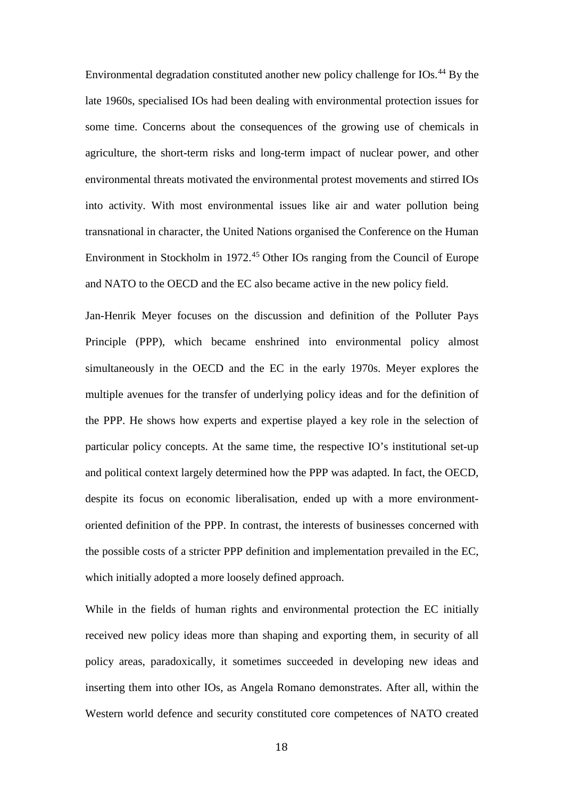Environmental degradation constituted another new policy challenge for  $IOS<sub>44</sub>$  $IOS<sub>44</sub>$  $IOS<sub>44</sub>$  By the late 1960s, specialised IOs had been dealing with environmental protection issues for some time. Concerns about the consequences of the growing use of chemicals in agriculture, the short-term risks and long-term impact of nuclear power, and other environmental threats motivated the environmental protest movements and stirred IOs into activity. With most environmental issues like air and water pollution being transnational in character, the United Nations organised the Conference on the Human Environment in Stockholm in 1972.[45](#page-5-13) Other IOs ranging from the Council of Europe and NATO to the OECD and the EC also became active in the new policy field.

Jan-Henrik Meyer focuses on the discussion and definition of the Polluter Pays Principle (PPP), which became enshrined into environmental policy almost simultaneously in the OECD and the EC in the early 1970s. Meyer explores the multiple avenues for the transfer of underlying policy ideas and for the definition of the PPP. He shows how experts and expertise played a key role in the selection of particular policy concepts. At the same time, the respective IO's institutional set-up and political context largely determined how the PPP was adapted. In fact, the OECD, despite its focus on economic liberalisation, ended up with a more environmentoriented definition of the PPP. In contrast, the interests of businesses concerned with the possible costs of a stricter PPP definition and implementation prevailed in the EC, which initially adopted a more loosely defined approach.

While in the fields of human rights and environmental protection the EC initially received new policy ideas more than shaping and exporting them, in security of all policy areas, paradoxically, it sometimes succeeded in developing new ideas and inserting them into other IOs, as Angela Romano demonstrates. After all, within the Western world defence and security constituted core competences of NATO created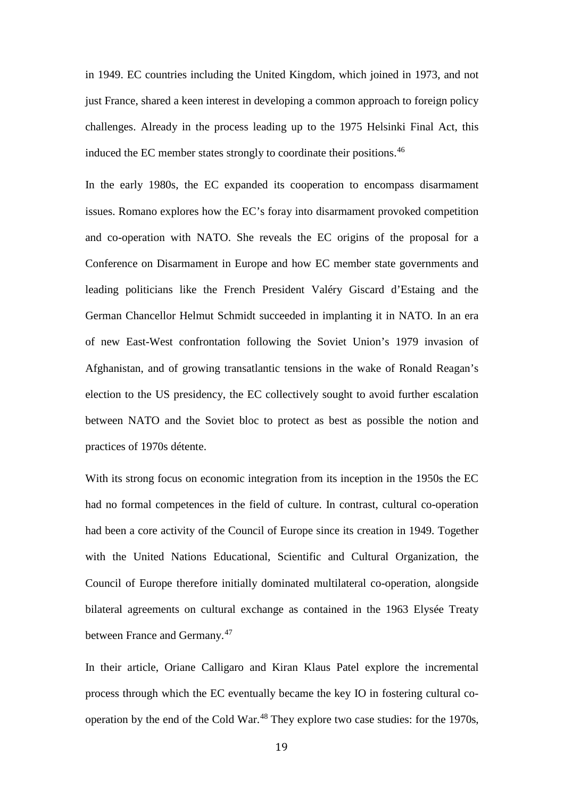in 1949. EC countries including the United Kingdom, which joined in 1973, and not just France, shared a keen interest in developing a common approach to foreign policy challenges. Already in the process leading up to the 1975 Helsinki Final Act, this induced the EC member states strongly to coordinate their positions.<sup>[46](#page-5-14)</sup>

In the early 1980s, the EC expanded its cooperation to encompass disarmament issues. Romano explores how the EC's foray into disarmament provoked competition and co-operation with NATO. She reveals the EC origins of the proposal for a Conference on Disarmament in Europe and how EC member state governments and leading politicians like the French President Valéry Giscard d'Estaing and the German Chancellor Helmut Schmidt succeeded in implanting it in NATO. In an era of new East-West confrontation following the Soviet Union's 1979 invasion of Afghanistan, and of growing transatlantic tensions in the wake of Ronald Reagan's election to the US presidency, the EC collectively sought to avoid further escalation between NATO and the Soviet bloc to protect as best as possible the notion and practices of 1970s détente.

With its strong focus on economic integration from its inception in the 1950s the EC had no formal competences in the field of culture. In contrast, cultural co-operation had been a core activity of the Council of Europe since its creation in 1949. Together with the United Nations Educational, Scientific and Cultural Organization, the Council of Europe therefore initially dominated multilateral co-operation, alongside bilateral agreements on cultural exchange as contained in the 1963 Elysée Treaty between France and Germany.<sup>[47](#page-5-15)</sup>

In their article, Oriane Calligaro and Kiran Klaus Patel explore the incremental process through which the EC eventually became the key IO in fostering cultural co-operation by the end of the Cold War.<sup>[48](#page-5-16)</sup> They explore two case studies: for the 1970s,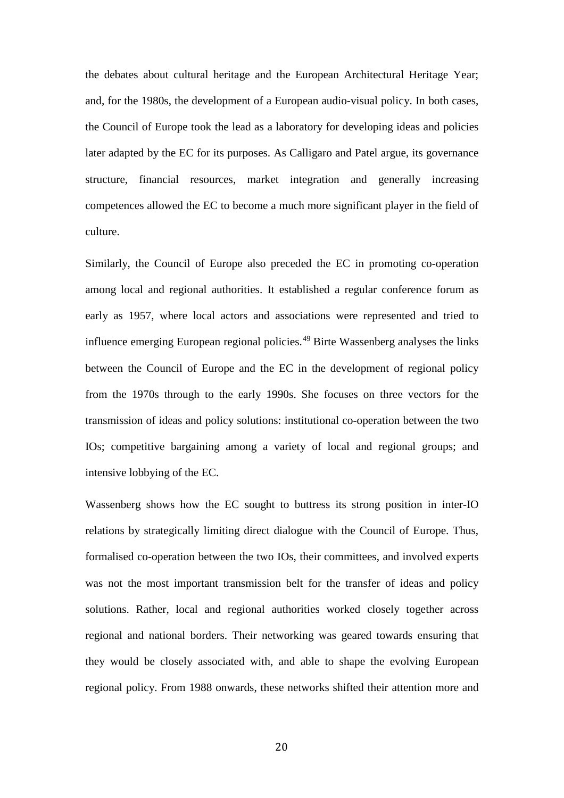the debates about cultural heritage and the European Architectural Heritage Year; and, for the 1980s, the development of a European audio-visual policy. In both cases, the Council of Europe took the lead as a laboratory for developing ideas and policies later adapted by the EC for its purposes. As Calligaro and Patel argue, its governance structure, financial resources, market integration and generally increasing competences allowed the EC to become a much more significant player in the field of culture.

Similarly, the Council of Europe also preceded the EC in promoting co-operation among local and regional authorities. It established a regular conference forum as early as 1957, where local actors and associations were represented and tried to influence emerging European regional policies.[49](#page-5-17) Birte Wassenberg analyses the links between the Council of Europe and the EC in the development of regional policy from the 1970s through to the early 1990s. She focuses on three vectors for the transmission of ideas and policy solutions: institutional co-operation between the two IOs; competitive bargaining among a variety of local and regional groups; and intensive lobbying of the EC.

Wassenberg shows how the EC sought to buttress its strong position in inter-IO relations by strategically limiting direct dialogue with the Council of Europe. Thus, formalised co-operation between the two IOs, their committees, and involved experts was not the most important transmission belt for the transfer of ideas and policy solutions. Rather, local and regional authorities worked closely together across regional and national borders. Their networking was geared towards ensuring that they would be closely associated with, and able to shape the evolving European regional policy. From 1988 onwards, these networks shifted their attention more and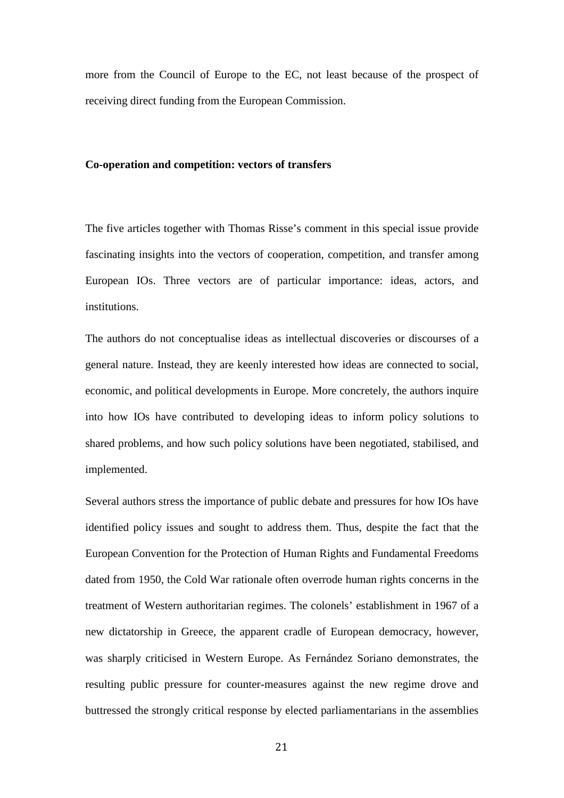more from the Council of Europe to the EC, not least because of the prospect of receiving direct funding from the European Commission.

#### **Co-operation and competition: vectors of transfers**

The five articles together with Thomas Risse's comment in this special issue provide fascinating insights into the vectors of cooperation, competition, and transfer among European IOs. Three vectors are of particular importance: ideas, actors, and institutions.

The authors do not conceptualise ideas as intellectual discoveries or discourses of a general nature. Instead, they are keenly interested how ideas are connected to social, economic, and political developments in Europe. More concretely, the authors inquire into how IOs have contributed to developing ideas to inform policy solutions to shared problems, and how such policy solutions have been negotiated, stabilised, and implemented.

Several authors stress the importance of public debate and pressures for how IOs have identified policy issues and sought to address them. Thus, despite the fact that the European Convention for the Protection of Human Rights and Fundamental Freedoms dated from 1950, the Cold War rationale often overrode human rights concerns in the treatment of Western authoritarian regimes. The colonels' establishment in 1967 of a new dictatorship in Greece, the apparent cradle of European democracy, however, was sharply criticised in Western Europe. As Fernández Soriano demonstrates, the resulting public pressure for counter-measures against the new regime drove and buttressed the strongly critical response by elected parliamentarians in the assemblies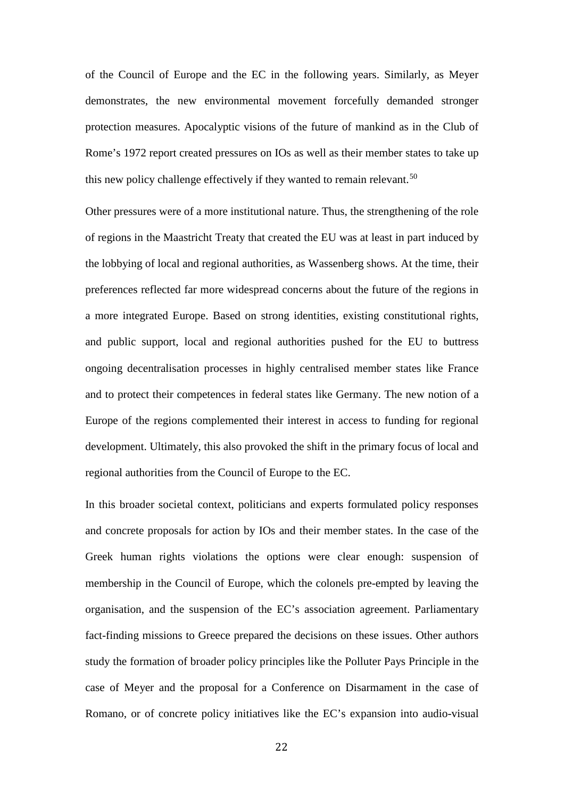of the Council of Europe and the EC in the following years. Similarly, as Meyer demonstrates, the new environmental movement forcefully demanded stronger protection measures. Apocalyptic visions of the future of mankind as in the Club of Rome's 1972 report created pressures on IOs as well as their member states to take up this new policy challenge effectively if they wanted to remain relevant.<sup>[50](#page-5-18)</sup>

Other pressures were of a more institutional nature. Thus, the strengthening of the role of regions in the Maastricht Treaty that created the EU was at least in part induced by the lobbying of local and regional authorities, as Wassenberg shows. At the time, their preferences reflected far more widespread concerns about the future of the regions in a more integrated Europe. Based on strong identities, existing constitutional rights, and public support, local and regional authorities pushed for the EU to buttress ongoing decentralisation processes in highly centralised member states like France and to protect their competences in federal states like Germany. The new notion of a Europe of the regions complemented their interest in access to funding for regional development. Ultimately, this also provoked the shift in the primary focus of local and regional authorities from the Council of Europe to the EC.

In this broader societal context, politicians and experts formulated policy responses and concrete proposals for action by IOs and their member states. In the case of the Greek human rights violations the options were clear enough: suspension of membership in the Council of Europe, which the colonels pre-empted by leaving the organisation, and the suspension of the EC's association agreement. Parliamentary fact-finding missions to Greece prepared the decisions on these issues. Other authors study the formation of broader policy principles like the Polluter Pays Principle in the case of Meyer and the proposal for a Conference on Disarmament in the case of Romano, or of concrete policy initiatives like the EC's expansion into audio-visual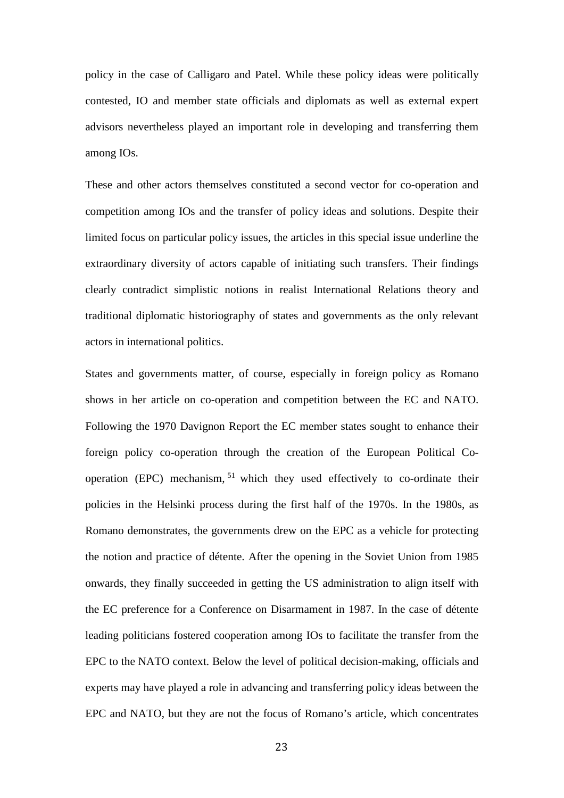policy in the case of Calligaro and Patel. While these policy ideas were politically contested, IO and member state officials and diplomats as well as external expert advisors nevertheless played an important role in developing and transferring them among IOs.

These and other actors themselves constituted a second vector for co-operation and competition among IOs and the transfer of policy ideas and solutions. Despite their limited focus on particular policy issues, the articles in this special issue underline the extraordinary diversity of actors capable of initiating such transfers. Their findings clearly contradict simplistic notions in realist International Relations theory and traditional diplomatic historiography of states and governments as the only relevant actors in international politics.

States and governments matter, of course, especially in foreign policy as Romano shows in her article on co-operation and competition between the EC and NATO. Following the 1970 Davignon Report the EC member states sought to enhance their foreign policy co-operation through the creation of the European Political Cooperation (EPC) mechanism, [51](#page-5-19) which they used effectively to co-ordinate their policies in the Helsinki process during the first half of the 1970s. In the 1980s, as Romano demonstrates, the governments drew on the EPC as a vehicle for protecting the notion and practice of détente. After the opening in the Soviet Union from 1985 onwards, they finally succeeded in getting the US administration to align itself with the EC preference for a Conference on Disarmament in 1987. In the case of détente leading politicians fostered cooperation among IOs to facilitate the transfer from the EPC to the NATO context. Below the level of political decision-making, officials and experts may have played a role in advancing and transferring policy ideas between the EPC and NATO, but they are not the focus of Romano's article, which concentrates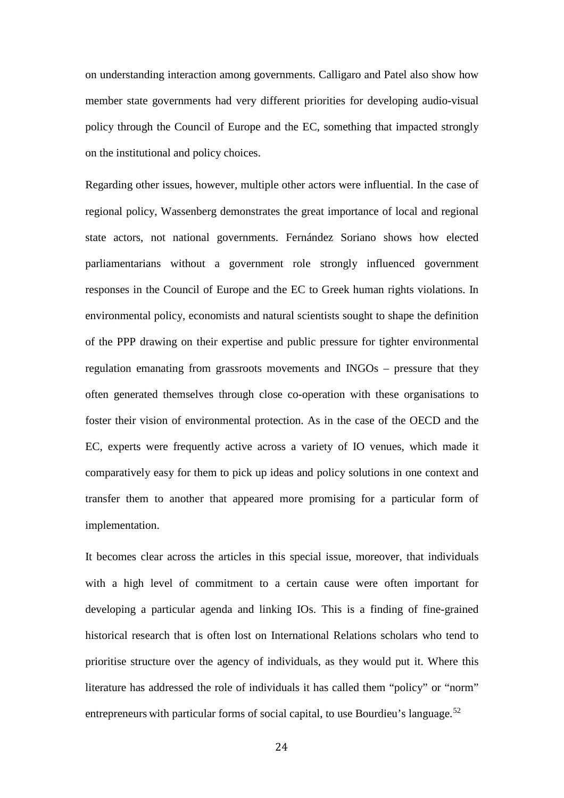on understanding interaction among governments. Calligaro and Patel also show how member state governments had very different priorities for developing audio-visual policy through the Council of Europe and the EC, something that impacted strongly on the institutional and policy choices.

Regarding other issues, however, multiple other actors were influential. In the case of regional policy, Wassenberg demonstrates the great importance of local and regional state actors, not national governments. Fernández Soriano shows how elected parliamentarians without a government role strongly influenced government responses in the Council of Europe and the EC to Greek human rights violations. In environmental policy, economists and natural scientists sought to shape the definition of the PPP drawing on their expertise and public pressure for tighter environmental regulation emanating from grassroots movements and INGOs – pressure that they often generated themselves through close co-operation with these organisations to foster their vision of environmental protection. As in the case of the OECD and the EC, experts were frequently active across a variety of IO venues, which made it comparatively easy for them to pick up ideas and policy solutions in one context and transfer them to another that appeared more promising for a particular form of implementation.

It becomes clear across the articles in this special issue, moreover, that individuals with a high level of commitment to a certain cause were often important for developing a particular agenda and linking IOs. This is a finding of fine-grained historical research that is often lost on International Relations scholars who tend to prioritise structure over the agency of individuals, as they would put it. Where this literature has addressed the role of individuals it has called them "policy" or "norm" entrepreneurs with particular forms of social capital, to use Bourdieu's language.<sup>[52](#page-6-0)</sup>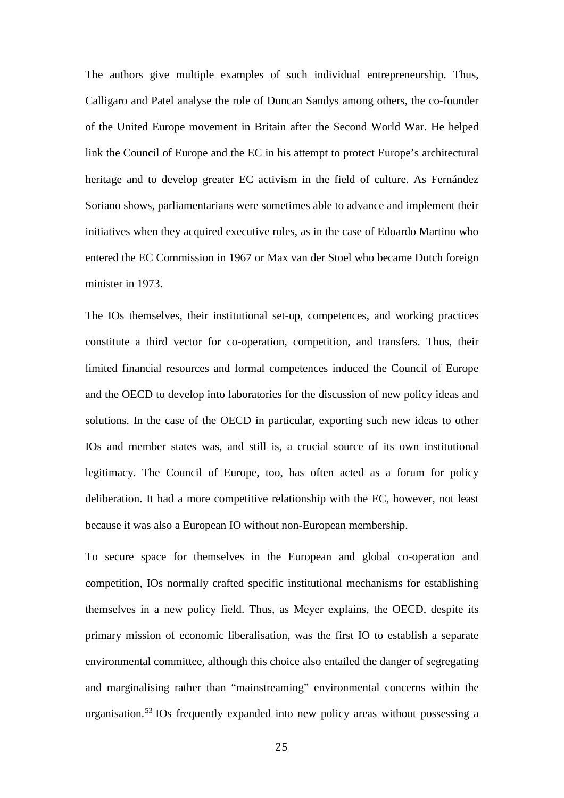The authors give multiple examples of such individual entrepreneurship. Thus, Calligaro and Patel analyse the role of Duncan Sandys among others, the co-founder of the United Europe movement in Britain after the Second World War. He helped link the Council of Europe and the EC in his attempt to protect Europe's architectural heritage and to develop greater EC activism in the field of culture. As Fernández Soriano shows, parliamentarians were sometimes able to advance and implement their initiatives when they acquired executive roles, as in the case of Edoardo Martino who entered the EC Commission in 1967 or Max van der Stoel who became Dutch foreign minister in 1973.

The IOs themselves, their institutional set-up, competences, and working practices constitute a third vector for co-operation, competition, and transfers. Thus, their limited financial resources and formal competences induced the Council of Europe and the OECD to develop into laboratories for the discussion of new policy ideas and solutions. In the case of the OECD in particular, exporting such new ideas to other IOs and member states was, and still is, a crucial source of its own institutional legitimacy. The Council of Europe, too, has often acted as a forum for policy deliberation. It had a more competitive relationship with the EC, however, not least because it was also a European IO without non-European membership.

To secure space for themselves in the European and global co-operation and competition, IOs normally crafted specific institutional mechanisms for establishing themselves in a new policy field. Thus, as Meyer explains, the OECD, despite its primary mission of economic liberalisation, was the first IO to establish a separate environmental committee, although this choice also entailed the danger of segregating and marginalising rather than "mainstreaming" environmental concerns within the organisation. [53](#page-6-1) IOs frequently expanded into new policy areas without possessing a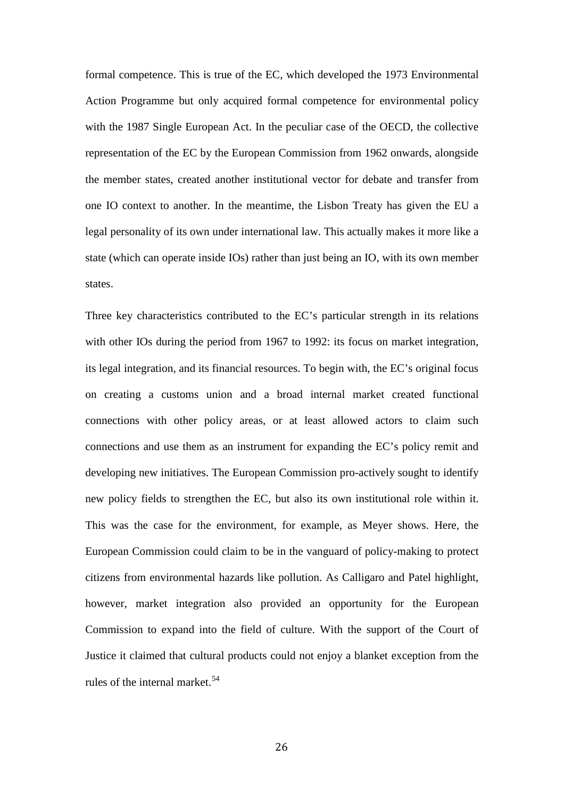formal competence. This is true of the EC, which developed the 1973 Environmental Action Programme but only acquired formal competence for environmental policy with the 1987 Single European Act. In the peculiar case of the OECD, the collective representation of the EC by the European Commission from 1962 onwards, alongside the member states, created another institutional vector for debate and transfer from one IO context to another. In the meantime, the Lisbon Treaty has given the EU a legal personality of its own under international law. This actually makes it more like a state (which can operate inside IOs) rather than just being an IO, with its own member states.

Three key characteristics contributed to the EC's particular strength in its relations with other IOs during the period from 1967 to 1992: its focus on market integration, its legal integration, and its financial resources. To begin with, the EC's original focus on creating a customs union and a broad internal market created functional connections with other policy areas, or at least allowed actors to claim such connections and use them as an instrument for expanding the EC's policy remit and developing new initiatives. The European Commission pro-actively sought to identify new policy fields to strengthen the EC, but also its own institutional role within it. This was the case for the environment, for example, as Meyer shows. Here, the European Commission could claim to be in the vanguard of policy-making to protect citizens from environmental hazards like pollution. As Calligaro and Patel highlight, however, market integration also provided an opportunity for the European Commission to expand into the field of culture. With the support of the Court of Justice it claimed that cultural products could not enjoy a blanket exception from the rules of the internal market.<sup>[54](#page-6-2)</sup>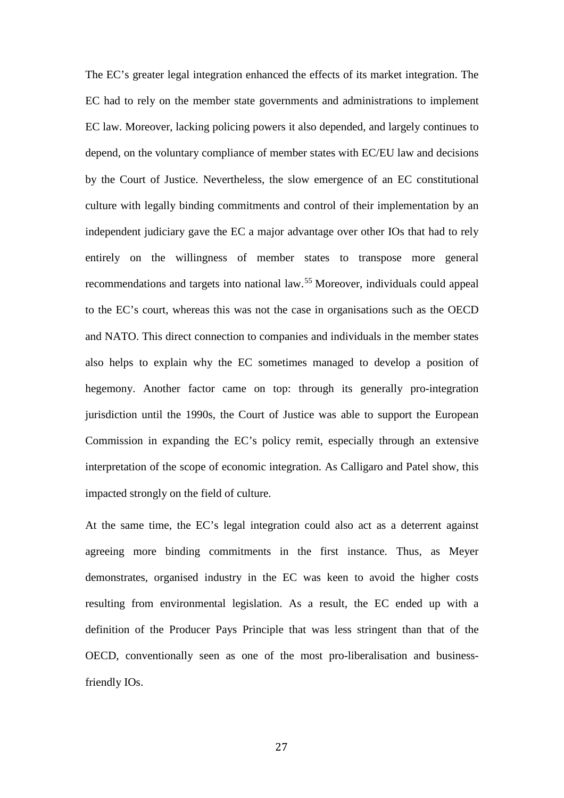The EC's greater legal integration enhanced the effects of its market integration. The EC had to rely on the member state governments and administrations to implement EC law. Moreover, lacking policing powers it also depended, and largely continues to depend, on the voluntary compliance of member states with EC/EU law and decisions by the Court of Justice. Nevertheless, the slow emergence of an EC constitutional culture with legally binding commitments and control of their implementation by an independent judiciary gave the EC a major advantage over other IOs that had to rely entirely on the willingness of member states to transpose more general recommendations and targets into national law.[55](#page-6-3) Moreover, individuals could appeal to the EC's court, whereas this was not the case in organisations such as the OECD and NATO. This direct connection to companies and individuals in the member states also helps to explain why the EC sometimes managed to develop a position of hegemony. Another factor came on top: through its generally pro-integration jurisdiction until the 1990s, the Court of Justice was able to support the European Commission in expanding the EC's policy remit, especially through an extensive interpretation of the scope of economic integration. As Calligaro and Patel show, this impacted strongly on the field of culture.

At the same time, the EC's legal integration could also act as a deterrent against agreeing more binding commitments in the first instance. Thus, as Meyer demonstrates, organised industry in the EC was keen to avoid the higher costs resulting from environmental legislation. As a result, the EC ended up with a definition of the Producer Pays Principle that was less stringent than that of the OECD, conventionally seen as one of the most pro-liberalisation and businessfriendly IOs.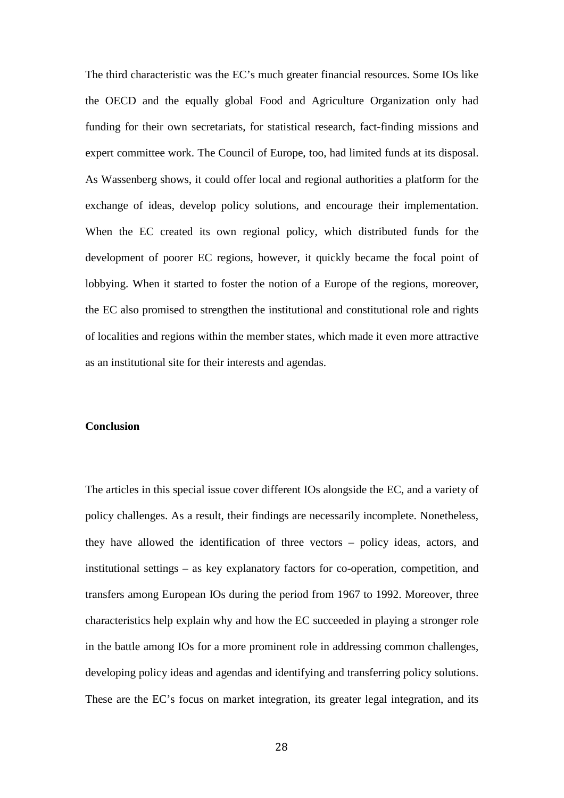The third characteristic was the EC's much greater financial resources. Some IOs like the OECD and the equally global Food and Agriculture Organization only had funding for their own secretariats, for statistical research, fact-finding missions and expert committee work. The Council of Europe, too, had limited funds at its disposal. As Wassenberg shows, it could offer local and regional authorities a platform for the exchange of ideas, develop policy solutions, and encourage their implementation. When the EC created its own regional policy, which distributed funds for the development of poorer EC regions, however, it quickly became the focal point of lobbying. When it started to foster the notion of a Europe of the regions, moreover, the EC also promised to strengthen the institutional and constitutional role and rights of localities and regions within the member states, which made it even more attractive as an institutional site for their interests and agendas.

#### **Conclusion**

The articles in this special issue cover different IOs alongside the EC, and a variety of policy challenges. As a result, their findings are necessarily incomplete. Nonetheless, they have allowed the identification of three vectors – policy ideas, actors, and institutional settings – as key explanatory factors for co-operation, competition, and transfers among European IOs during the period from 1967 to 1992. Moreover, three characteristics help explain why and how the EC succeeded in playing a stronger role in the battle among IOs for a more prominent role in addressing common challenges, developing policy ideas and agendas and identifying and transferring policy solutions. These are the EC's focus on market integration, its greater legal integration, and its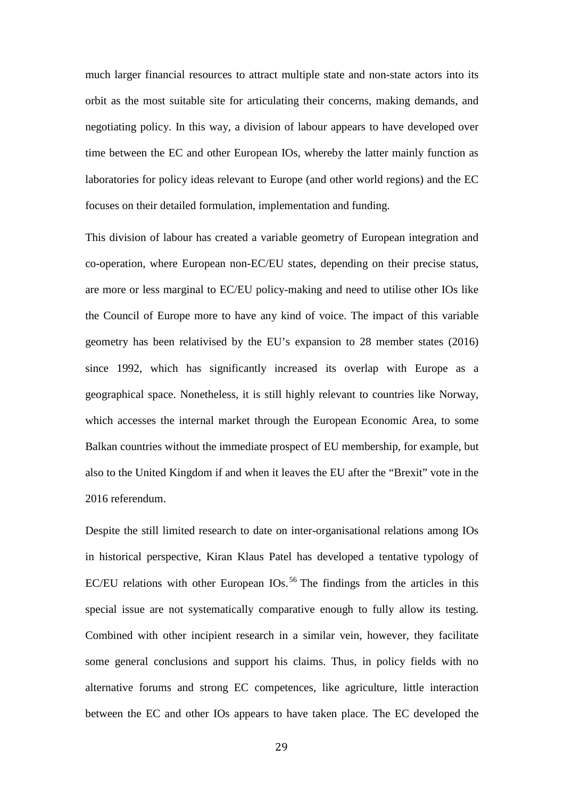much larger financial resources to attract multiple state and non-state actors into its orbit as the most suitable site for articulating their concerns, making demands, and negotiating policy. In this way, a division of labour appears to have developed over time between the EC and other European IOs, whereby the latter mainly function as laboratories for policy ideas relevant to Europe (and other world regions) and the EC focuses on their detailed formulation, implementation and funding.

This division of labour has created a variable geometry of European integration and co-operation, where European non-EC/EU states, depending on their precise status, are more or less marginal to EC/EU policy-making and need to utilise other IOs like the Council of Europe more to have any kind of voice. The impact of this variable geometry has been relativised by the EU's expansion to 28 member states (2016) since 1992, which has significantly increased its overlap with Europe as a geographical space. Nonetheless, it is still highly relevant to countries like Norway, which accesses the internal market through the European Economic Area, to some Balkan countries without the immediate prospect of EU membership, for example, but also to the United Kingdom if and when it leaves the EU after the "Brexit" vote in the 2016 referendum.

Despite the still limited research to date on inter-organisational relations among IOs in historical perspective, Kiran Klaus Patel has developed a tentative typology of EC/EU relations with other European IOs.<sup>[56](#page-6-4)</sup> The findings from the articles in this special issue are not systematically comparative enough to fully allow its testing. Combined with other incipient research in a similar vein, however, they facilitate some general conclusions and support his claims. Thus, in policy fields with no alternative forums and strong EC competences, like agriculture, little interaction between the EC and other IOs appears to have taken place. The EC developed the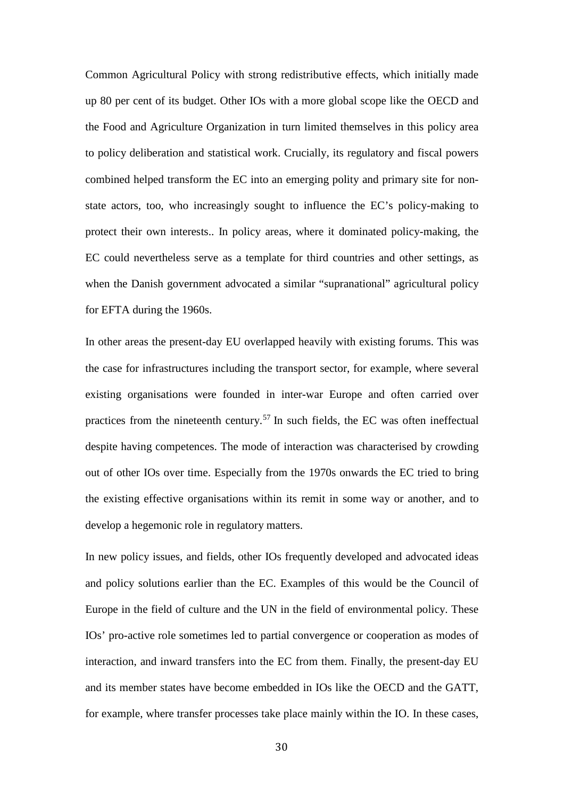Common Agricultural Policy with strong redistributive effects, which initially made up 80 per cent of its budget. Other IOs with a more global scope like the OECD and the Food and Agriculture Organization in turn limited themselves in this policy area to policy deliberation and statistical work. Crucially, its regulatory and fiscal powers combined helped transform the EC into an emerging polity and primary site for nonstate actors, too, who increasingly sought to influence the EC's policy-making to protect their own interests.. In policy areas, where it dominated policy-making, the EC could nevertheless serve as a template for third countries and other settings, as when the Danish government advocated a similar "supranational" agricultural policy for EFTA during the 1960s.

In other areas the present-day EU overlapped heavily with existing forums. This was the case for infrastructures including the transport sector, for example, where several existing organisations were founded in inter-war Europe and often carried over practices from the nineteenth century.[57](#page-6-5) In such fields, the EC was often ineffectual despite having competences. The mode of interaction was characterised by crowding out of other IOs over time. Especially from the 1970s onwards the EC tried to bring the existing effective organisations within its remit in some way or another, and to develop a hegemonic role in regulatory matters.

In new policy issues, and fields, other IOs frequently developed and advocated ideas and policy solutions earlier than the EC. Examples of this would be the Council of Europe in the field of culture and the UN in the field of environmental policy. These IOs' pro-active role sometimes led to partial convergence or cooperation as modes of interaction, and inward transfers into the EC from them. Finally, the present-day EU and its member states have become embedded in IOs like the OECD and the GATT, for example, where transfer processes take place mainly within the IO. In these cases,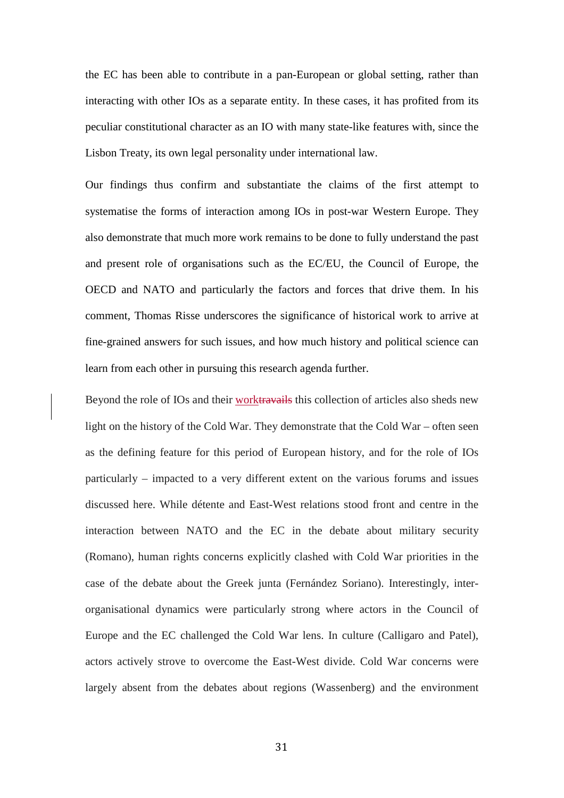the EC has been able to contribute in a pan-European or global setting, rather than interacting with other IOs as a separate entity. In these cases, it has profited from its peculiar constitutional character as an IO with many state-like features with, since the Lisbon Treaty, its own legal personality under international law.

Our findings thus confirm and substantiate the claims of the first attempt to systematise the forms of interaction among IOs in post-war Western Europe. They also demonstrate that much more work remains to be done to fully understand the past and present role of organisations such as the EC/EU, the Council of Europe, the OECD and NATO and particularly the factors and forces that drive them. In his comment, Thomas Risse underscores the significance of historical work to arrive at fine-grained answers for such issues, and how much history and political science can learn from each other in pursuing this research agenda further.

Beyond the role of IOs and their worktravails this collection of articles also sheds new light on the history of the Cold War. They demonstrate that the Cold War – often seen as the defining feature for this period of European history, and for the role of IOs particularly – impacted to a very different extent on the various forums and issues discussed here. While détente and East-West relations stood front and centre in the interaction between NATO and the EC in the debate about military security (Romano), human rights concerns explicitly clashed with Cold War priorities in the case of the debate about the Greek junta (Fernández Soriano). Interestingly, interorganisational dynamics were particularly strong where actors in the Council of Europe and the EC challenged the Cold War lens. In culture (Calligaro and Patel), actors actively strove to overcome the East-West divide. Cold War concerns were largely absent from the debates about regions (Wassenberg) and the environment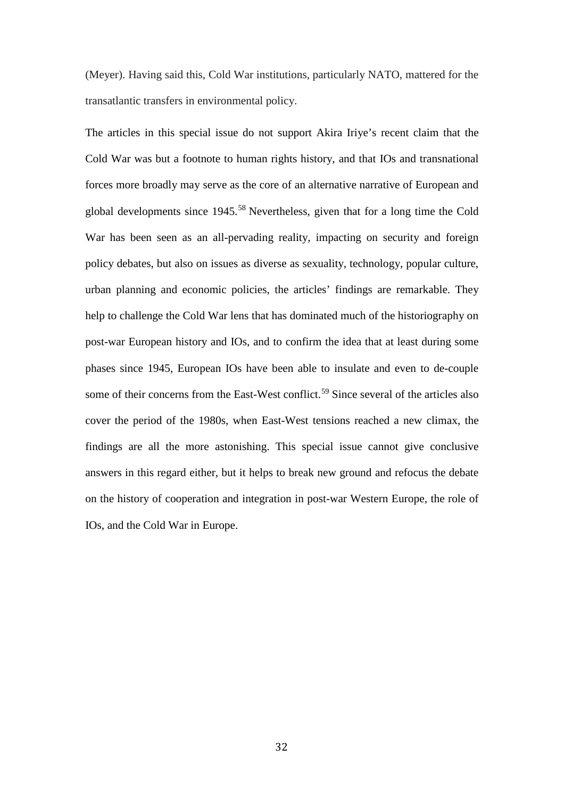(Meyer). Having said this, Cold War institutions, particularly NATO, mattered for the transatlantic transfers in environmental policy.

The articles in this special issue do not support Akira Iriye's recent claim that the Cold War was but a footnote to human rights history, and that IOs and transnational forces more broadly may serve as the core of an alternative narrative of European and global developments since 1945.[58](#page-6-6) Nevertheless, given that for a long time the Cold War has been seen as an all-pervading reality, impacting on security and foreign policy debates, but also on issues as diverse as sexuality, technology, popular culture, urban planning and economic policies, the articles' findings are remarkable. They help to challenge the Cold War lens that has dominated much of the historiography on post-war European history and IOs, and to confirm the idea that at least during some phases since 1945, European IOs have been able to insulate and even to de-couple some of their concerns from the East-West conflict.<sup>[59](#page-6-7)</sup> Since several of the articles also cover the period of the 1980s, when East-West tensions reached a new climax, the findings are all the more astonishing. This special issue cannot give conclusive answers in this regard either, but it helps to break new ground and refocus the debate on the history of cooperation and integration in post-war Western Europe, the role of IOs, and the Cold War in Europe.

32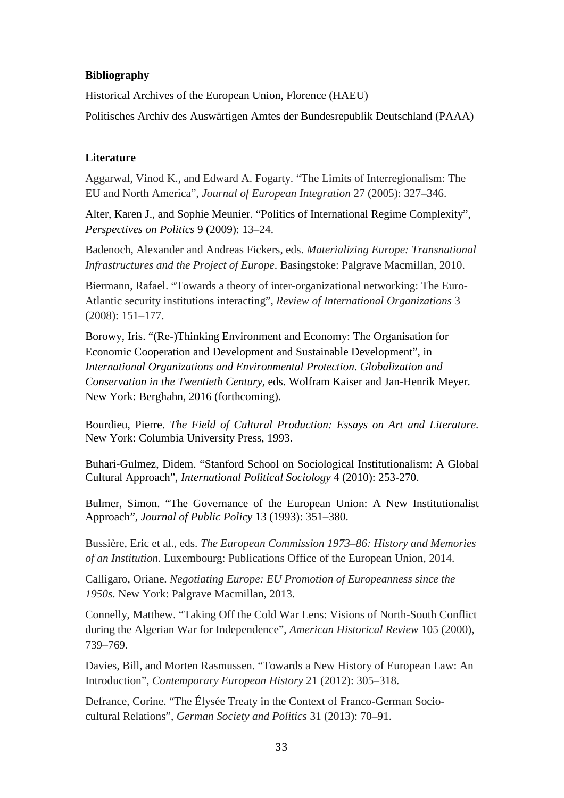# **Bibliography**

Historical Archives of the European Union, Florence (HAEU)

Politisches Archiv des Auswärtigen Amtes der Bundesrepublik Deutschland (PAAA)

## **Literature**

Aggarwal, Vinod K., and Edward A. Fogarty. "The Limits of Interregionalism: The EU and North America", *Journal of European Integration* 27 (2005): 327–346.

Alter, Karen J., and Sophie Meunier. "Politics of International Regime Complexity", *Perspectives on Politics* 9 (2009): 13–24.

Badenoch, Alexander and Andreas Fickers, eds. *Materializing Europe: Transnational Infrastructures and the Project of Europe*. Basingstoke: Palgrave Macmillan, 2010.

Biermann, Rafael. "Towards a theory of inter-organizational networking: The Euro-Atlantic security institutions interacting", *Review of International Organizations* 3 (2008): 151–177.

Borowy, Iris. "(Re-)Thinking Environment and Economy: The Organisation for Economic Cooperation and Development and Sustainable Development", in *International Organizations and Environmental Protection. Globalization and Conservation in the Twentieth Century,* eds. Wolfram Kaiser and Jan-Henrik Meyer. New York: Berghahn, 2016 (forthcoming).

Bourdieu, Pierre. *The Field of Cultural Production: Essays on Art and Literature*. New York: Columbia University Press, 1993.

Buhari-Gulmez, Didem. "Stanford School on Sociological Institutionalism: A Global Cultural Approach", *International Political Sociology* 4 (2010): 253-270.

Bulmer, Simon. "The Governance of the European Union: A New Institutionalist Approach", *Journal of Public Policy* 13 (1993): 351–380.

Bussière, Eric et al., eds. *The European Commission 1973–86: History and Memories of an Institution*. Luxembourg: Publications Office of the European Union, 2014.

Calligaro, Oriane. *Negotiating Europe: EU Promotion of Europeanness since the 1950s*. New York: Palgrave Macmillan, 2013.

Connelly, Matthew. "Taking Off the Cold War Lens: Visions of North-South Conflict during the Algerian War for Independence", *American Historical Review* 105 (2000), 739–769.

Davies, Bill, and Morten Rasmussen. "Towards a New History of European Law: An Introduction", *Contemporary European History* 21 (2012): 305–318.

Defrance, Corine. "The Élysée Treaty in the Context of Franco-German Sociocultural Relations", *German Society and Politics* 31 (2013): 70–91.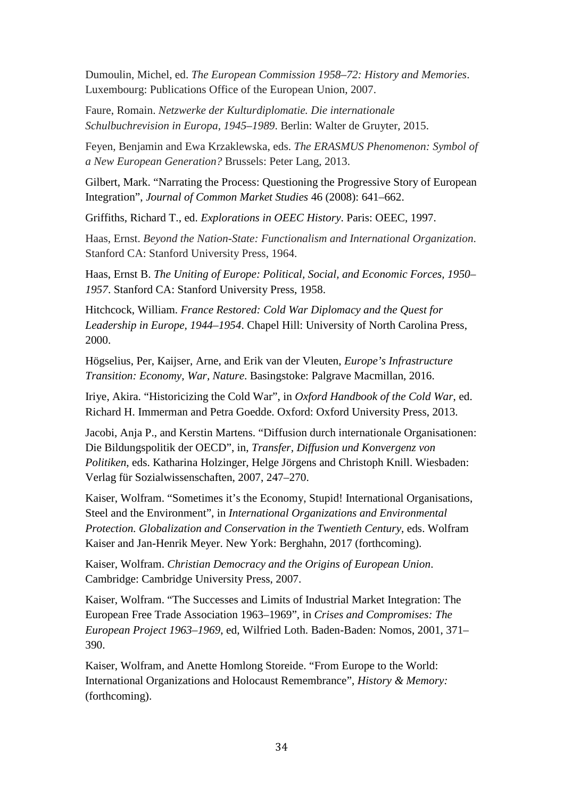Dumoulin, Michel, ed. *The European Commission 1958–72: History and Memories*. Luxembourg: Publications Office of the European Union, 2007.

Faure, Romain. *Netzwerke der Kulturdiplomatie. Die internationale Schulbuchrevision in Europa, 1945–1989*. Berlin: Walter de Gruyter, 2015.

Feyen, Benjamin and Ewa Krzaklewska, eds. *The ERASMUS Phenomenon: Symbol of a New European Generation?* Brussels: Peter Lang, 2013.

Gilbert, Mark. "Narrating the Process: Questioning the Progressive Story of European Integration", *Journal of Common Market Studies* 46 (2008): 641–662.

Griffiths, Richard T., ed. *Explorations in OEEC History*. Paris: OEEC, 1997.

Haas, Ernst. *Beyond the Nation-State: Functionalism and International Organization*. Stanford CA: Stanford University Press, 1964.

Haas, Ernst B. *The Uniting of Europe: Political, Social, and Economic Forces, 1950– 1957*. Stanford CA: Stanford University Press, 1958.

Hitchcock, William. *France Restored: Cold War Diplomacy and the Quest for Leadership in Europe, 1944–1954*. Chapel Hill: University of North Carolina Press, 2000.

Högselius, Per, Kaijser, Arne, and Erik van der Vleuten, *Europe's Infrastructure Transition: Economy, War, Nature*. Basingstoke: Palgrave Macmillan, 2016.

Iriye, Akira. "Historicizing the Cold War", in *Oxford Handbook of the Cold War*, ed. Richard H. Immerman and Petra Goedde. Oxford: Oxford University Press, 2013.

Jacobi, Anja P., and Kerstin Martens. "Diffusion durch internationale Organisationen: Die Bildungspolitik der OECD", in, *Transfer, Diffusion und Konvergenz von Politiken*, eds. Katharina Holzinger, Helge Jörgens and Christoph Knill. Wiesbaden: Verlag für Sozialwissenschaften, 2007, 247–270.

Kaiser, Wolfram. "Sometimes it's the Economy, Stupid! International Organisations, Steel and the Environment", in *International Organizations and Environmental Protection. Globalization and Conservation in the Twentieth Century*, eds. Wolfram Kaiser and Jan-Henrik Meyer. New York: Berghahn, 2017 (forthcoming).

Kaiser, Wolfram. *Christian Democracy and the Origins of European Union*. Cambridge: Cambridge University Press, 2007.

Kaiser, Wolfram. "The Successes and Limits of Industrial Market Integration: The European Free Trade Association 1963*–*1969", in *Crises and Compromises: The European Project 1963–1969*, ed, Wilfried Loth. Baden-Baden: Nomos, 2001, 371*–* 390.

Kaiser, Wolfram, and Anette Homlong Storeide. "From Europe to the World: International Organizations and Holocaust Remembrance", *History & Memory:* (forthcoming).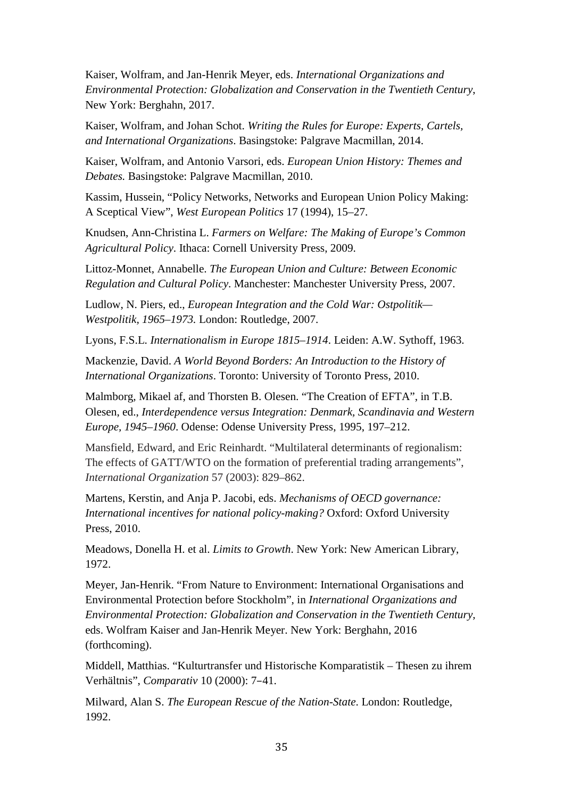Kaiser, Wolfram, and Jan-Henrik Meyer, eds. *International Organizations and Environmental Protection: Globalization and Conservation in the Twentieth Century*, New York: Berghahn, 2017.

Kaiser, Wolfram, and Johan Schot. *Writing the Rules for Europe: Experts, Cartels, and International Organizations*. Basingstoke: Palgrave Macmillan, 2014.

Kaiser, Wolfram, and Antonio Varsori, eds. *European Union History: Themes and Debates.* Basingstoke: Palgrave Macmillan, 2010.

Kassim, Hussein, "Policy Networks, Networks and European Union Policy Making: A Sceptical View", *West European Politics* 17 (1994), 15–27.

Knudsen, Ann-Christina L. *Farmers on Welfare: The Making of Europe's Common Agricultural Policy*. Ithaca: Cornell University Press, 2009.

Littoz-Monnet, Annabelle. *The European Union and Culture: Between Economic Regulation and Cultural Policy*. Manchester: Manchester University Press, 2007.

Ludlow, N. Piers, ed., *European Integration and the Cold War: Ostpolitik— Westpolitik, 1965–1973.* London: Routledge, 2007.

Lyons, F.S.L. *Internationalism in Europe 1815–1914*. Leiden: A.W. Sythoff, 1963.

Mackenzie, David. *A World Beyond Borders: An Introduction to the History of International Organizations*. Toronto: University of Toronto Press, 2010.

Malmborg, Mikael af, and Thorsten B. Olesen. "The Creation of EFTA", in T.B. Olesen, ed., *Interdependence versus Integration: Denmark, Scandinavia and Western Europe, 1945–1960*. Odense: Odense University Press, 1995, 197–212.

Mansfield, Edward, and Eric Reinhardt. "Multilateral determinants of regionalism: The effects of GATT/WTO on the formation of preferential trading arrangements", *International Organization* 57 (2003): 829–862.

Martens, Kerstin, and Anja P. Jacobi, eds. *Mechanisms of OECD governance: International incentives for national policy-making?* Oxford: Oxford University Press, 2010.

Meadows, Donella H. et al. *Limits to Growth*. New York: New American Library, 1972.

Meyer, Jan-Henrik. "From Nature to Environment: International Organisations and Environmental Protection before Stockholm", in *International Organizations and Environmental Protection: Globalization and Conservation in the Twentieth Century,* eds. Wolfram Kaiser and Jan-Henrik Meyer. New York: Berghahn, 2016 (forthcoming).

Middell, Matthias. "Kulturtransfer und Historische Komparatistik – Thesen zu ihrem Verhältnis", *Comparativ* 10 (2000): 7–41.

Milward, Alan S. *The European Rescue of the Nation-State*. London: Routledge, 1992.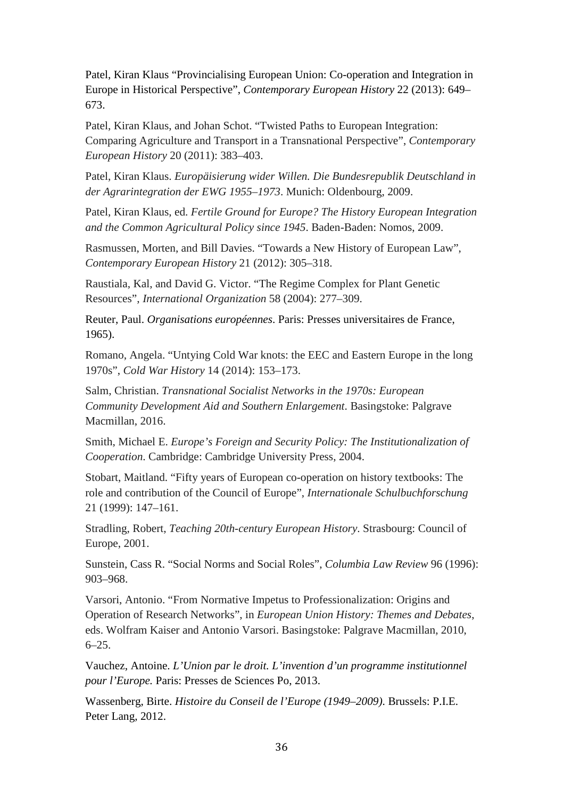Patel, Kiran Klaus "Provincialising European Union: Co-operation and Integration in Europe in Historical Perspective", *Contemporary European History* 22 (2013): 649– 673.

Patel, Kiran Klaus, and Johan Schot. "Twisted Paths to European Integration: Comparing Agriculture and Transport in a Transnational Perspective", *Contemporary European History* 20 (2011): 383–403.

Patel, Kiran Klaus. *Europäisierung wider Willen. Die Bundesrepublik Deutschland in der Agrarintegration der EWG 1955–1973*. Munich: Oldenbourg, 2009.

Patel, Kiran Klaus, ed. *Fertile Ground for Europe? The History European Integration and the Common Agricultural Policy since 1945*. Baden-Baden: Nomos, 2009.

Rasmussen, Morten, and Bill Davies. "Towards a New History of European Law", *Contemporary European History* 21 (2012): 305–318.

Raustiala, Kal, and David G. Victor. "The Regime Complex for Plant Genetic Resources", *International Organization* 58 (2004): 277–309.

Reuter, Paul. *Organisations européennes*. Paris: Presses universitaires de France, 1965).

Romano, Angela. "Untying Cold War knots: the EEC and Eastern Europe in the long 1970s", *Cold War History* 14 (2014): 153–173.

Salm, Christian. *Transnational Socialist Networks in the 1970s: European Community Development Aid and Southern Enlargement*. Basingstoke: Palgrave Macmillan, 2016.

Smith, Michael E. *Europe's Foreign and Security Policy: The Institutionalization of Cooperation*. Cambridge: Cambridge University Press, 2004.

Stobart, Maitland. "Fifty years of European co-operation on history textbooks: The role and contribution of the Council of Europe", *Internationale Schulbuchforschung* 21 (1999): 147–161.

Stradling, Robert, *Teaching 20th-century European History*. Strasbourg: Council of Europe, 2001.

Sunstein, Cass R. "Social Norms and Social Roles", *Columbia Law Review* 96 (1996): 903–968.

Varsori, Antonio. "From Normative Impetus to Professionalization: Origins and Operation of Research Networks", in *European Union History: Themes and Debates*, eds. Wolfram Kaiser and Antonio Varsori. Basingstoke: Palgrave Macmillan, 2010, 6–25.

Vauchez, Antoine. *L'Union par le droit. L'invention d'un programme institutionnel pour l'Europe.* Paris: Presses de Sciences Po, 2013.

Wassenberg, Birte. *Histoire du Conseil de l'Europe (1949–2009)*. Brussels: P.I.E. Peter Lang, 2012.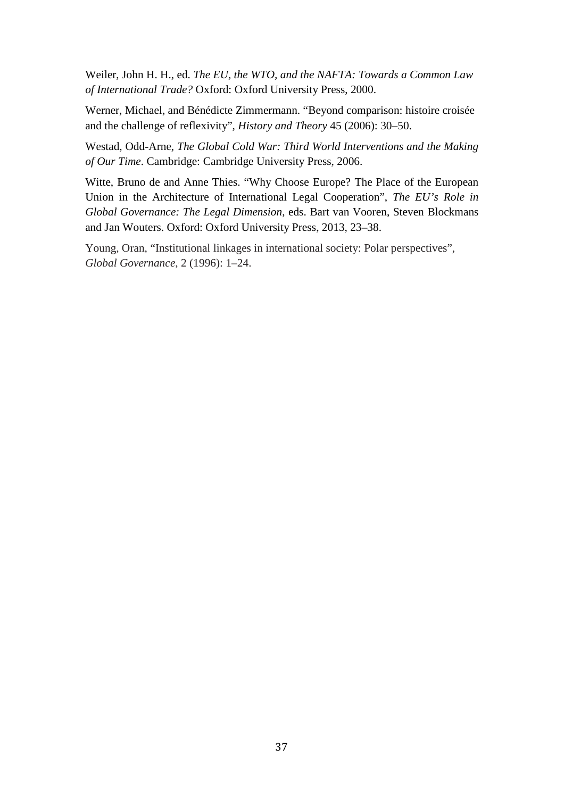Weiler, John H. H., ed. *The EU, the WTO, and the NAFTA: Towards a Common Law of International Trade?* Oxford: Oxford University Press, 2000.

Werner, Michael, and Bénédicte Zimmermann. "Beyond comparison: histoire croisée and the challenge of reflexivity", *History and Theory* 45 (2006): 30–50.

Westad, Odd-Arne, *The Global Cold War: Third World Interventions and the Making of Our Time*. Cambridge: Cambridge University Press, 2006.

Witte, Bruno de and Anne Thies. "Why Choose Europe? The Place of the European Union in the Architecture of International Legal Cooperation", *The EU's Role in Global Governance: The Legal Dimension*, eds. Bart van Vooren, Steven Blockmans and Jan Wouters. Oxford: Oxford University Press, 2013, 23–38.

Young, Oran, "Institutional linkages in international society: Polar perspectives", *Global Governance*, 2 (1996): 1–24.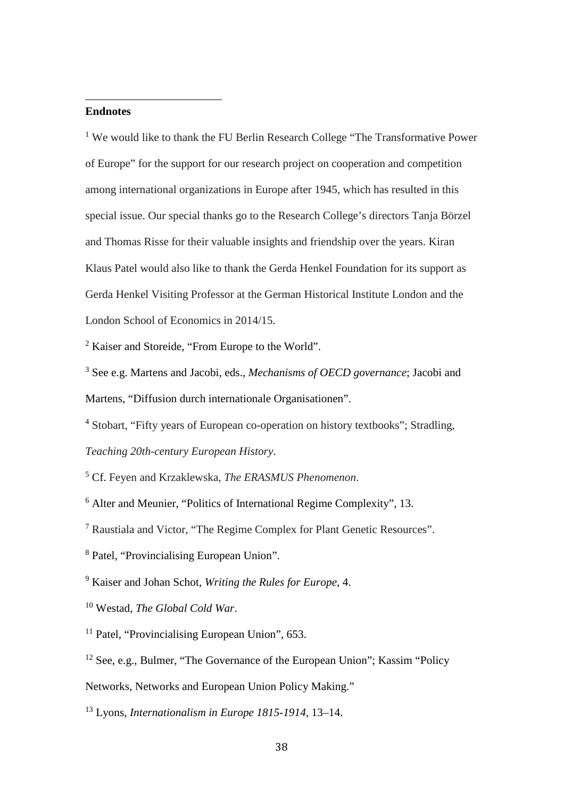#### j **Endnotes**

<sup>1</sup> We would like to thank the FU Berlin Research College "The Transformative Power" of Europe" for the support for our research project on cooperation and competition among international organizations in Europe after 1945, which has resulted in this special issue. Our special thanks go to the Research College's directors Tanja Börzel and Thomas Risse for their valuable insights and friendship over the years. Kiran Klaus Patel would also like to thank the Gerda Henkel Foundation for its support as Gerda Henkel Visiting Professor at the German Historical Institute London and the London School of Economics in 2014/15.

<sup>2</sup> Kaiser and Storeide, "From Europe to the World".

<sup>3</sup> See e.g. Martens and Jacobi, eds., *Mechanisms of OECD governance*; Jacobi and Martens, "Diffusion durch internationale Organisationen".

<sup>4</sup> Stobart, "Fifty years of European co-operation on history textbooks"; Stradling, *Teaching 20th-century European History*.

<sup>5</sup> Cf. Feyen and Krzaklewska, *The ERASMUS Phenomenon*.

<sup>6</sup> Alter and Meunier, "Politics of International Regime Complexity", 13.

<sup>7</sup> Raustiala and Victor, "The Regime Complex for Plant Genetic Resources".

<sup>8</sup> Patel, "Provincialising European Union".

<sup>9</sup> Kaiser and Johan Schot, *Writing the Rules for Europe*, 4.

<sup>10</sup> Westad, *The Global Cold War*.

<sup>11</sup> Patel, "Provincialising European Union", 653.

<sup>12</sup> See, e.g., Bulmer, "The Governance of the European Union"; Kassim "Policy"

Networks, Networks and European Union Policy Making."

<sup>13</sup> Lyons, *Internationalism in Europe 1815-1914*, 13–14.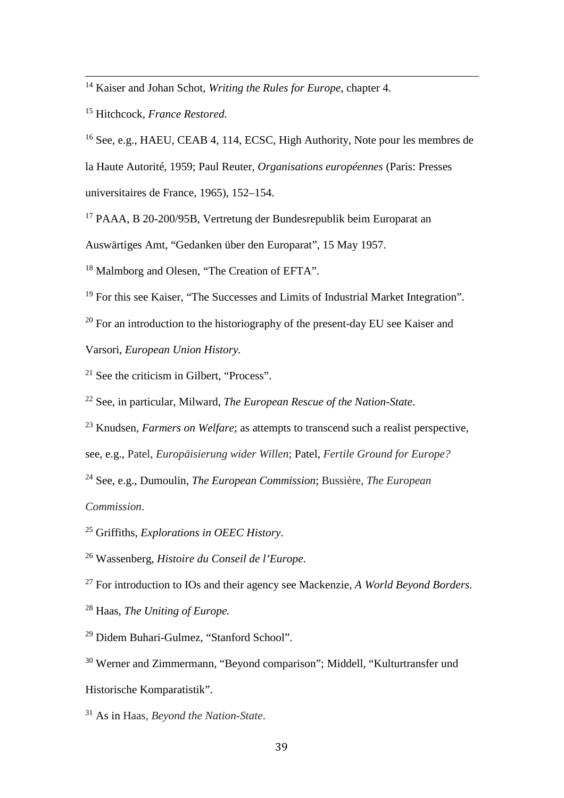<sup>14</sup> Kaiser and Johan Schot, *Writing the Rules for Europe*, chapter 4.

Hitchcock, *France Restored.*

 See, e.g., HAEU, CEAB 4, 114, ECSC, High Authority, Note pour les membres de la Haute Autorité, 1959; Paul Reuter, *Organisations européennes* (Paris: Presses universitaires de France, 1965), 152–154.

PAAA, B 20-200/95B, Vertretung der Bundesrepublik beim Europarat an

Auswärtiges Amt, "Gedanken über den Europarat", 15 May 1957.

<sup>18</sup> Malmborg and Olesen, "The Creation of EFTA".

For this see Kaiser, "The Successes and Limits of Industrial Market Integration".

For an introduction to the historiography of the present-day EU see Kaiser and

Varsori, *European Union History.*

<sup>21</sup> See the criticism in Gilbert, "Process".

See, in particular, Milward, *The European Rescue of the Nation-State*.

Knudsen, *Farmers on Welfare*; as attempts to transcend such a realist perspective,

see, e.g., Patel, *Europäisierung wider Willen*; Patel, *Fertile Ground for Europe?*

 See, e.g., Dumoulin, *The European Commission*; Bussière, *The European Commission*.

Griffiths, *Explorations in OEEC History*.

Wassenberg, *Histoire du Conseil de l'Europe*.

For introduction to IOs and their agency see Mackenzie, *A World Beyond Borders.* 

Haas, *The Uniting of Europe.*

Didem Buhari-Gulmez, "Stanford School".

 Werner and Zimmermann, "Beyond comparison"; Middell, "Kulturtransfer und Historische Komparatistik".

As in Haas, *Beyond the Nation-State*.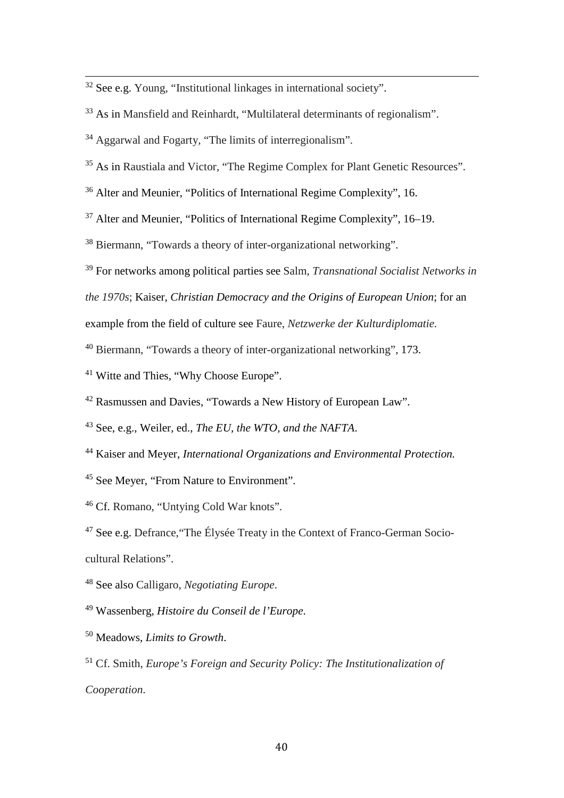<sup>32</sup> See e.g. Young, "Institutional linkages in international society".

<sup>33</sup> As in Mansfield and Reinhardt, "Multilateral determinants of regionalism".

Aggarwal and Fogarty, "The limits of interregionalism".

<sup>35</sup> As in Raustiala and Victor, "The Regime Complex for Plant Genetic Resources".

Alter and Meunier, "Politics of International Regime Complexity", 16.

Alter and Meunier, "Politics of International Regime Complexity", 16–19.

Biermann, "Towards a theory of inter-organizational networking".

For networks among political parties see Salm, *Transnational Socialist Networks in* 

*the 1970s*; Kaiser, *Christian Democracy and the Origins of European Union*; for an

example from the field of culture see Faure, *Netzwerke der Kulturdiplomatie.*

Biermann, "Towards a theory of inter-organizational networking", 173.

<sup>41</sup> Witte and Thies, "Why Choose Europe".

Rasmussen and Davies, "Towards a New History of European Law".

See, e.g., Weiler, ed., *The EU, the WTO, and the NAFTA*.

- Kaiser and Meyer, *International Organizations and Environmental Protection.*
- See Meyer, "From Nature to Environment".

Cf. Romano, "Untying Cold War knots".

 See e.g. Defrance,"The Élysée Treaty in the Context of Franco-German Sociocultural Relations".

See also Calligaro, *Negotiating Europe*.

Wassenberg, *Histoire du Conseil de l'Europe*.

Meadows, *Limits to Growth*.

 Cf. Smith, *Europe's Foreign and Security Policy: The Institutionalization of Cooperation*.